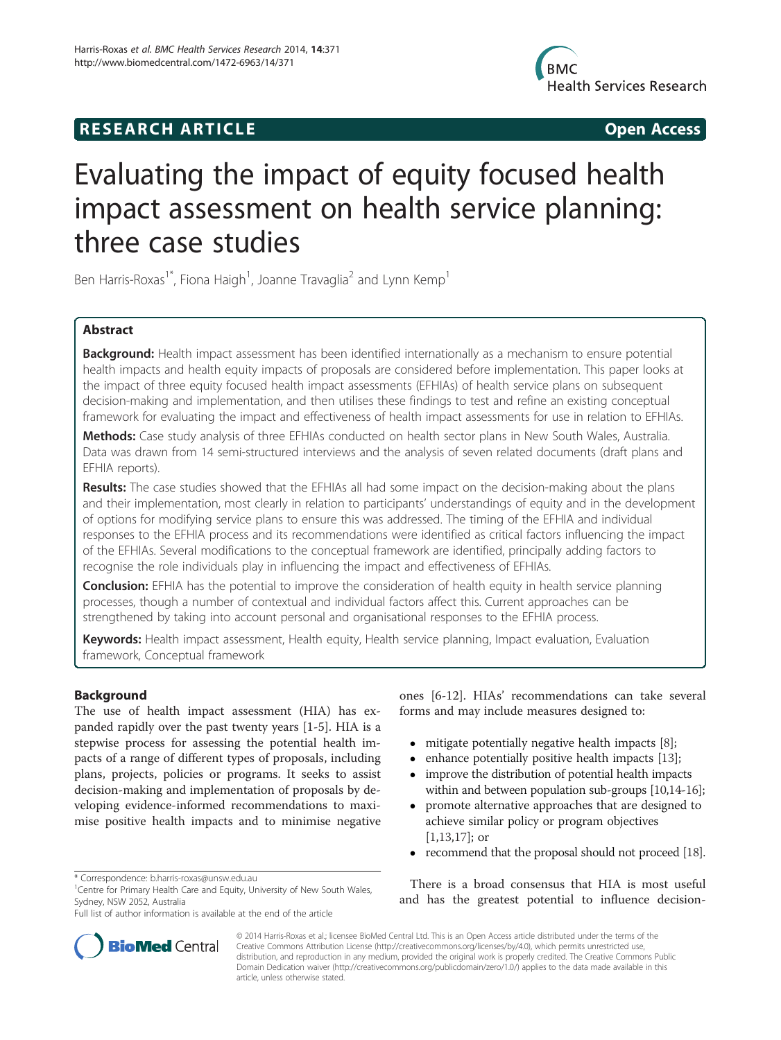# **RESEARCH ARTICLE CONSUMING A RESEARCH ARTICLE**



# Evaluating the impact of equity focused health impact assessment on health service planning: three case studies

Ben Harris-Roxas $^{\text{1}}$ ", Fiona Haigh $^{\text{1}}$ , Joanne Travaglia $^{\text{2}}$  and Lynn Kemp $^{\text{1}}$ 

## Abstract

Background: Health impact assessment has been identified internationally as a mechanism to ensure potential health impacts and health equity impacts of proposals are considered before implementation. This paper looks at the impact of three equity focused health impact assessments (EFHIAs) of health service plans on subsequent decision-making and implementation, and then utilises these findings to test and refine an existing conceptual framework for evaluating the impact and effectiveness of health impact assessments for use in relation to EFHIAs.

Methods: Case study analysis of three EFHIAs conducted on health sector plans in New South Wales, Australia. Data was drawn from 14 semi-structured interviews and the analysis of seven related documents (draft plans and EFHIA reports).

Results: The case studies showed that the EFHIAs all had some impact on the decision-making about the plans and their implementation, most clearly in relation to participants' understandings of equity and in the development of options for modifying service plans to ensure this was addressed. The timing of the EFHIA and individual responses to the EFHIA process and its recommendations were identified as critical factors influencing the impact of the EFHIAs. Several modifications to the conceptual framework are identified, principally adding factors to recognise the role individuals play in influencing the impact and effectiveness of EFHIAs.

**Conclusion:** EFHIA has the potential to improve the consideration of health equity in health service planning processes, though a number of contextual and individual factors affect this. Current approaches can be strengthened by taking into account personal and organisational responses to the EFHIA process.

Keywords: Health impact assessment, Health equity, Health service planning, Impact evaluation, Evaluation framework, Conceptual framework

## Background

The use of health impact assessment (HIA) has expanded rapidly over the past twenty years [\[1](#page-19-0)-[5\]](#page-19-0). HIA is a stepwise process for assessing the potential health impacts of a range of different types of proposals, including plans, projects, policies or programs. It seeks to assist decision-making and implementation of proposals by developing evidence-informed recommendations to maximise positive health impacts and to minimise negative

ones [[6-12](#page-19-0)]. HIAs' recommendations can take several forms and may include measures designed to:

- mitigate potentially negative health impacts [\[8](#page-19-0)];
- enhance potentially positive health impacts [[13](#page-19-0)];
- improve the distribution of potential health impacts within and between population sub-groups [[10,14-16\]](#page-19-0);
- promote alternative approaches that are designed to achieve similar policy or program objectives [[1,13](#page-19-0),[17](#page-19-0)]; or
- recommend that the proposal should not proceed [\[18](#page-19-0)].

There is a broad consensus that HIA is most useful and has the greatest potential to influence decision-



© 2014 Harris-Roxas et al.; licensee BioMed Central Ltd. This is an Open Access article distributed under the terms of the Creative Commons Attribution License (<http://creativecommons.org/licenses/by/4.0>), which permits unrestricted use, distribution, and reproduction in any medium, provided the original work is properly credited. The Creative Commons Public Domain Dedication waiver [\(http://creativecommons.org/publicdomain/zero/1.0/\)](http://creativecommons.org/publicdomain/zero/1.0/) applies to the data made available in this article, unless otherwise stated.

<sup>\*</sup> Correspondence: [b.harris-roxas@unsw.edu.au](mailto:b.harris-roxas@unsw.edu.au) <sup>1</sup>

<sup>&</sup>lt;sup>1</sup> Centre for Primary Health Care and Equity, University of New South Wales, Sydney, NSW 2052, Australia

Full list of author information is available at the end of the article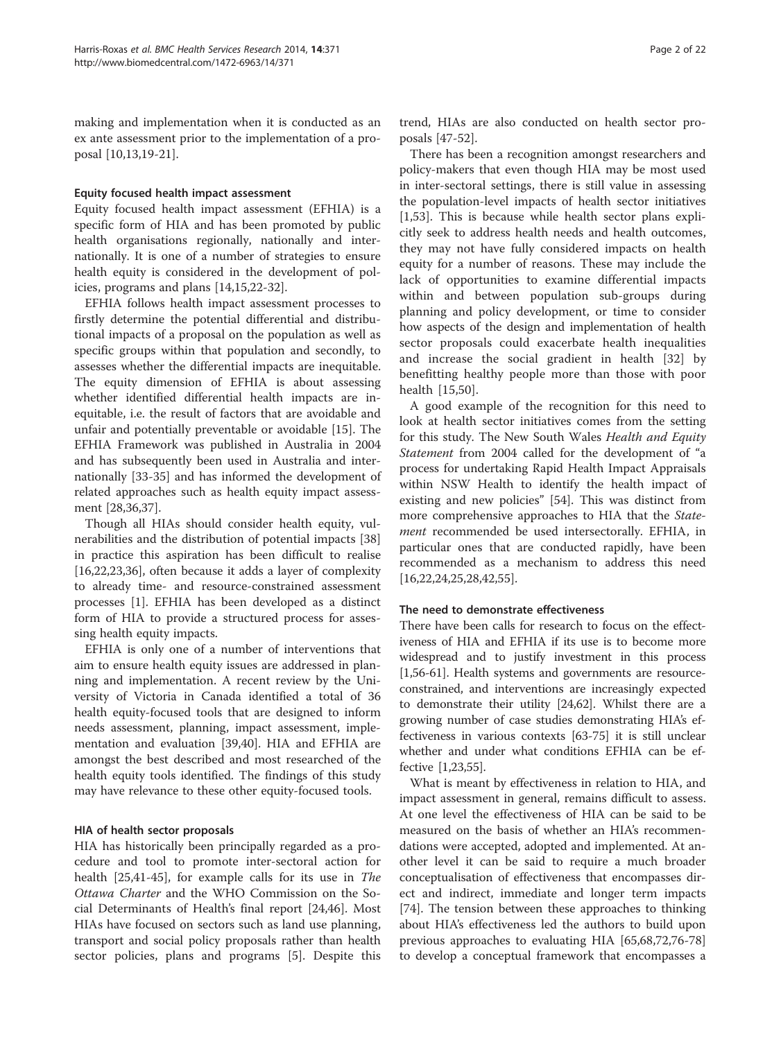making and implementation when it is conducted as an ex ante assessment prior to the implementation of a proposal [[10,13,19-21](#page-19-0)].

#### Equity focused health impact assessment

Equity focused health impact assessment (EFHIA) is a specific form of HIA and has been promoted by public health organisations regionally, nationally and internationally. It is one of a number of strategies to ensure health equity is considered in the development of policies, programs and plans [[14,15,22-32\]](#page-19-0).

EFHIA follows health impact assessment processes to firstly determine the potential differential and distributional impacts of a proposal on the population as well as specific groups within that population and secondly, to assesses whether the differential impacts are inequitable. The equity dimension of EFHIA is about assessing whether identified differential health impacts are inequitable, i.e. the result of factors that are avoidable and unfair and potentially preventable or avoidable [[15\]](#page-19-0). The EFHIA Framework was published in Australia in 2004 and has subsequently been used in Australia and internationally [\[33](#page-19-0)-[35\]](#page-19-0) and has informed the development of related approaches such as health equity impact assessment [[28,36,37\]](#page-19-0).

Though all HIAs should consider health equity, vulnerabilities and the distribution of potential impacts [[38](#page-19-0)] in practice this aspiration has been difficult to realise [[16,22,23,36\]](#page-19-0), often because it adds a layer of complexity to already time- and resource-constrained assessment processes [[1\]](#page-19-0). EFHIA has been developed as a distinct form of HIA to provide a structured process for assessing health equity impacts.

EFHIA is only one of a number of interventions that aim to ensure health equity issues are addressed in planning and implementation. A recent review by the University of Victoria in Canada identified a total of 36 health equity-focused tools that are designed to inform needs assessment, planning, impact assessment, implementation and evaluation [[39,40\]](#page-19-0). HIA and EFHIA are amongst the best described and most researched of the health equity tools identified. The findings of this study may have relevance to these other equity-focused tools.

### HIA of health sector proposals

HIA has historically been principally regarded as a procedure and tool to promote inter-sectoral action for health [[25,41-](#page-19-0)[45\]](#page-20-0), for example calls for its use in The Ottawa Charter and the WHO Commission on the Social Determinants of Health's final report [\[24,](#page-19-0)[46\]](#page-20-0). Most HIAs have focused on sectors such as land use planning, transport and social policy proposals rather than health sector policies, plans and programs [[5\]](#page-19-0). Despite this trend, HIAs are also conducted on health sector proposals [[47-52\]](#page-20-0).

There has been a recognition amongst researchers and policy-makers that even though HIA may be most used in inter-sectoral settings, there is still value in assessing the population-level impacts of health sector initiatives [[1,](#page-19-0)[53\]](#page-20-0). This is because while health sector plans explicitly seek to address health needs and health outcomes, they may not have fully considered impacts on health equity for a number of reasons. These may include the lack of opportunities to examine differential impacts within and between population sub-groups during planning and policy development, or time to consider how aspects of the design and implementation of health sector proposals could exacerbate health inequalities and increase the social gradient in health [[32\]](#page-19-0) by benefitting healthy people more than those with poor health [\[15](#page-19-0),[50\]](#page-20-0).

A good example of the recognition for this need to look at health sector initiatives comes from the setting for this study. The New South Wales Health and Equity Statement from 2004 called for the development of "a process for undertaking Rapid Health Impact Appraisals within NSW Health to identify the health impact of existing and new policies" [[54](#page-20-0)]. This was distinct from more comprehensive approaches to HIA that the Statement recommended be used intersectorally. EFHIA, in particular ones that are conducted rapidly, have been recommended as a mechanism to address this need [[16,22,24,25,28,](#page-19-0)[42,55](#page-20-0)].

#### The need to demonstrate effectiveness

There have been calls for research to focus on the effectiveness of HIA and EFHIA if its use is to become more widespread and to justify investment in this process [[1,](#page-19-0)[56](#page-20-0)-[61](#page-20-0)]. Health systems and governments are resourceconstrained, and interventions are increasingly expected to demonstrate their utility [\[24,](#page-19-0)[62](#page-20-0)]. Whilst there are a growing number of case studies demonstrating HIA's effectiveness in various contexts [\[63-75\]](#page-20-0) it is still unclear whether and under what conditions EFHIA can be effective [\[1,23,](#page-19-0)[55](#page-20-0)].

What is meant by effectiveness in relation to HIA, and impact assessment in general, remains difficult to assess. At one level the effectiveness of HIA can be said to be measured on the basis of whether an HIA's recommendations were accepted, adopted and implemented. At another level it can be said to require a much broader conceptualisation of effectiveness that encompasses direct and indirect, immediate and longer term impacts [[74\]](#page-20-0). The tension between these approaches to thinking about HIA's effectiveness led the authors to build upon previous approaches to evaluating HIA [\[65,68,72,76](#page-20-0)-[78](#page-20-0)] to develop a conceptual framework that encompasses a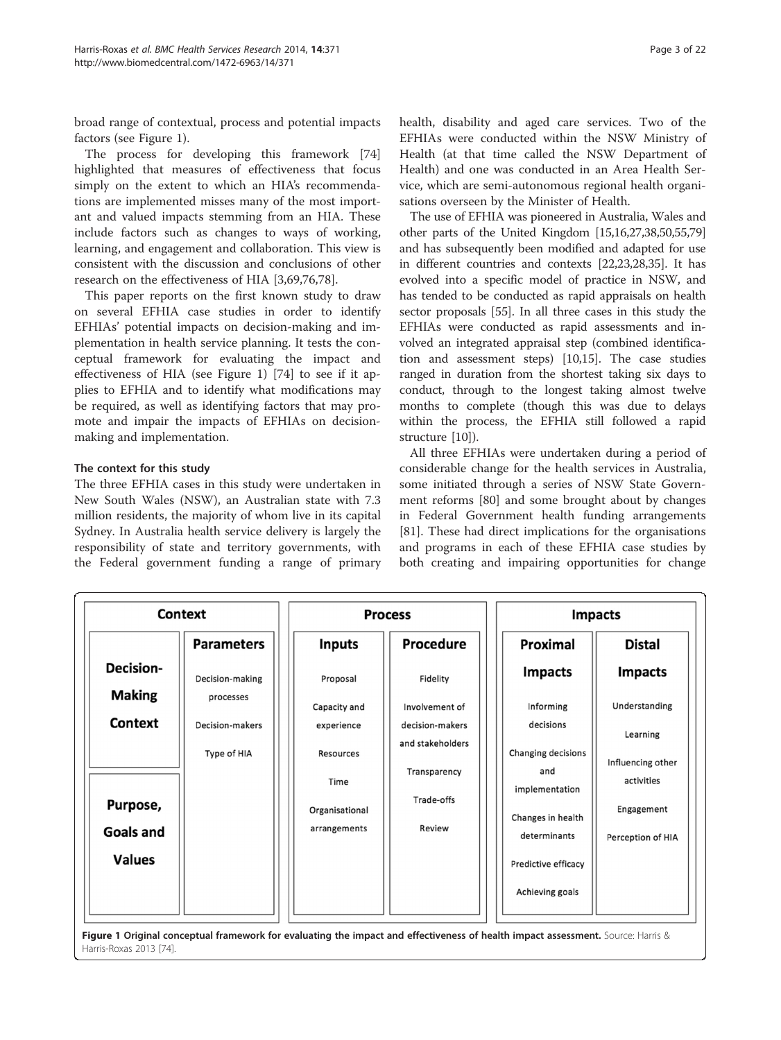<span id="page-2-0"></span>broad range of contextual, process and potential impacts factors (see Figure 1).

The process for developing this framework [[74](#page-20-0)] highlighted that measures of effectiveness that focus simply on the extent to which an HIA's recommendations are implemented misses many of the most important and valued impacts stemming from an HIA. These include factors such as changes to ways of working, learning, and engagement and collaboration. This view is consistent with the discussion and conclusions of other research on the effectiveness of HIA [[3,](#page-19-0)[69,76,78\]](#page-20-0).

This paper reports on the first known study to draw on several EFHIA case studies in order to identify EFHIAs' potential impacts on decision-making and implementation in health service planning. It tests the conceptual framework for evaluating the impact and effectiveness of HIA (see Figure 1) [\[74](#page-20-0)] to see if it applies to EFHIA and to identify what modifications may be required, as well as identifying factors that may promote and impair the impacts of EFHIAs on decisionmaking and implementation.

### The context for this study

The three EFHIA cases in this study were undertaken in New South Wales (NSW), an Australian state with 7.3 million residents, the majority of whom live in its capital Sydney. In Australia health service delivery is largely the responsibility of state and territory governments, with the Federal government funding a range of primary health, disability and aged care services. Two of the EFHIAs were conducted within the NSW Ministry of Health (at that time called the NSW Department of Health) and one was conducted in an Area Health Service, which are semi-autonomous regional health organisations overseen by the Minister of Health.

The use of EFHIA was pioneered in Australia, Wales and other parts of the United Kingdom [\[15,16,27,38](#page-19-0)[,50,55,79](#page-20-0)] and has subsequently been modified and adapted for use in different countries and contexts [\[22,23,28,35](#page-19-0)]. It has evolved into a specific model of practice in NSW, and has tended to be conducted as rapid appraisals on health sector proposals [[55](#page-20-0)]. In all three cases in this study the EFHIAs were conducted as rapid assessments and involved an integrated appraisal step (combined identification and assessment steps) [\[10,15](#page-19-0)]. The case studies ranged in duration from the shortest taking six days to conduct, through to the longest taking almost twelve months to complete (though this was due to delays within the process, the EFHIA still followed a rapid structure [\[10\]](#page-19-0)).

All three EFHIAs were undertaken during a period of considerable change for the health services in Australia, some initiated through a series of NSW State Government reforms [[80](#page-20-0)] and some brought about by changes in Federal Government health funding arrangements [[81\]](#page-20-0). These had direct implications for the organisations and programs in each of these EFHIA case studies by both creating and impairing opportunities for change

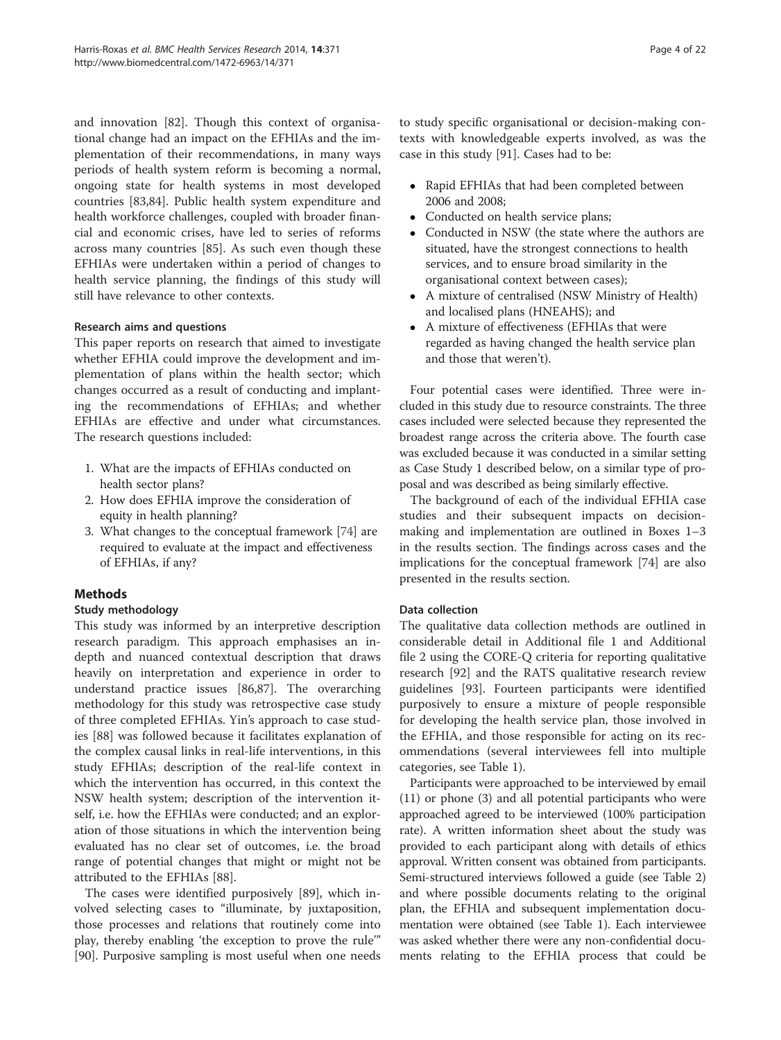<span id="page-3-0"></span>and innovation [\[82\]](#page-20-0). Though this context of organisational change had an impact on the EFHIAs and the implementation of their recommendations, in many ways periods of health system reform is becoming a normal, ongoing state for health systems in most developed countries [[83](#page-20-0),[84](#page-20-0)]. Public health system expenditure and health workforce challenges, coupled with broader financial and economic crises, have led to series of reforms across many countries [\[85\]](#page-20-0). As such even though these EFHIAs were undertaken within a period of changes to health service planning, the findings of this study will still have relevance to other contexts.

### Research aims and questions

This paper reports on research that aimed to investigate whether EFHIA could improve the development and implementation of plans within the health sector; which changes occurred as a result of conducting and implanting the recommendations of EFHIAs; and whether EFHIAs are effective and under what circumstances. The research questions included:

- 1. What are the impacts of EFHIAs conducted on health sector plans?
- 2. How does EFHIA improve the consideration of equity in health planning?
- 3. What changes to the conceptual framework [[74](#page-20-0)] are required to evaluate at the impact and effectiveness of EFHIAs, if any?

## **Methods**

### Study methodology

This study was informed by an interpretive description research paradigm. This approach emphasises an indepth and nuanced contextual description that draws heavily on interpretation and experience in order to understand practice issues [\[86,87\]](#page-20-0). The overarching methodology for this study was retrospective case study of three completed EFHIAs. Yin's approach to case studies [[88\]](#page-20-0) was followed because it facilitates explanation of the complex causal links in real-life interventions, in this study EFHIAs; description of the real-life context in which the intervention has occurred, in this context the NSW health system; description of the intervention itself, i.e. how the EFHIAs were conducted; and an exploration of those situations in which the intervention being evaluated has no clear set of outcomes, i.e. the broad range of potential changes that might or might not be attributed to the EFHIAs [\[88](#page-20-0)].

The cases were identified purposively [[89\]](#page-20-0), which involved selecting cases to "illuminate, by juxtaposition, those processes and relations that routinely come into play, thereby enabling 'the exception to prove the rule'" [[90\]](#page-20-0). Purposive sampling is most useful when one needs

to study specific organisational or decision-making contexts with knowledgeable experts involved, as was the case in this study [\[91](#page-20-0)]. Cases had to be:

- Rapid EFHIAs that had been completed between 2006 and 2008;
- Conducted on health service plans;
- Conducted in NSW (the state where the authors are situated, have the strongest connections to health services, and to ensure broad similarity in the organisational context between cases);
- A mixture of centralised (NSW Ministry of Health) and localised plans (HNEAHS); and
- A mixture of effectiveness (EFHIAs that were regarded as having changed the health service plan and those that weren't).

Four potential cases were identified. Three were included in this study due to resource constraints. The three cases included were selected because they represented the broadest range across the criteria above. The fourth case was excluded because it was conducted in a similar setting as Case Study 1 described below, on a similar type of proposal and was described as being similarly effective.

The background of each of the individual EFHIA case studies and their subsequent impacts on decisionmaking and implementation are outlined in Boxes 1–3 in the results section. The findings across cases and the implications for the conceptual framework [[74\]](#page-20-0) are also presented in the results section.

### Data collection

The qualitative data collection methods are outlined in considerable detail in Additional file [1](#page-18-0) and Additional file [2](#page-18-0) using the CORE-Q criteria for reporting qualitative research [\[92\]](#page-20-0) and the RATS qualitative research review guidelines [\[93](#page-20-0)]. Fourteen participants were identified purposively to ensure a mixture of people responsible for developing the health service plan, those involved in the EFHIA, and those responsible for acting on its recommendations (several interviewees fell into multiple categories, see Table [1\)](#page-4-0).

Participants were approached to be interviewed by email (11) or phone (3) and all potential participants who were approached agreed to be interviewed (100% participation rate). A written information sheet about the study was provided to each participant along with details of ethics approval. Written consent was obtained from participants. Semi-structured interviews followed a guide (see Table [2](#page-4-0)) and where possible documents relating to the original plan, the EFHIA and subsequent implementation documentation were obtained (see Table [1](#page-4-0)). Each interviewee was asked whether there were any non-confidential documents relating to the EFHIA process that could be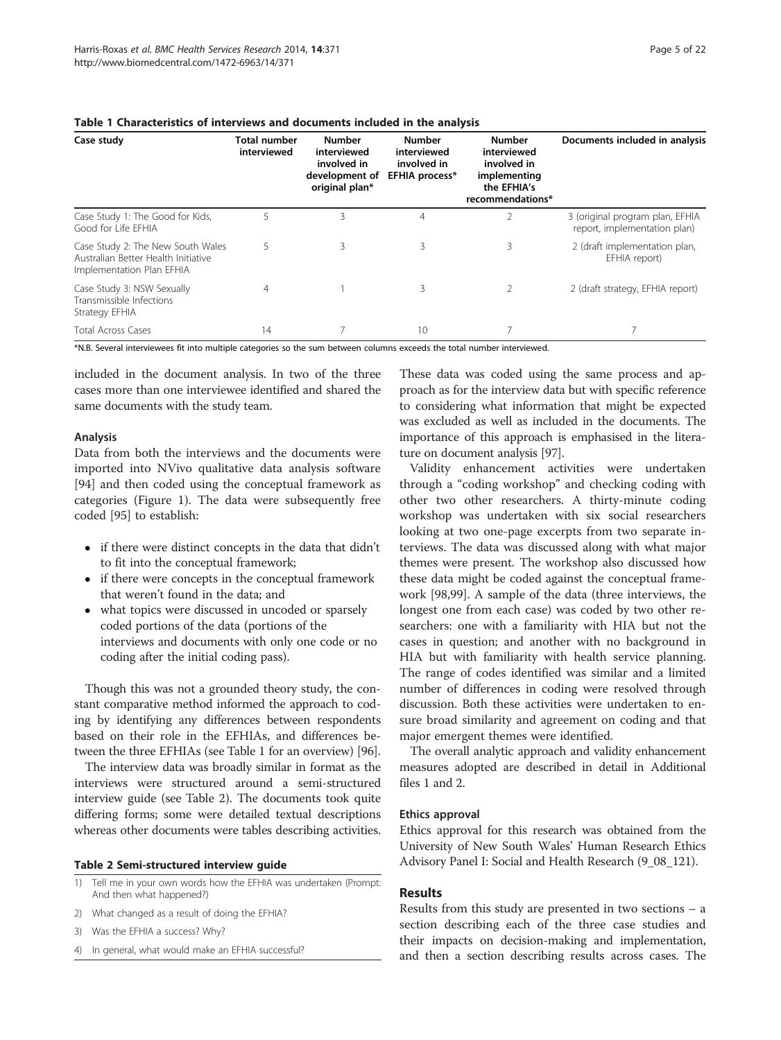| Case study                                                                                            | <b>Total number</b><br>interviewed | <b>Number</b><br>interviewed<br>involved in<br>development of<br>original plan* | <b>Number</b><br>interviewed<br>involved in<br>EFHIA process* | <b>Number</b><br>interviewed<br>involved in<br>implementing<br>the EFHIA's<br>recommendations* | Documents included in analysis                                  |
|-------------------------------------------------------------------------------------------------------|------------------------------------|---------------------------------------------------------------------------------|---------------------------------------------------------------|------------------------------------------------------------------------------------------------|-----------------------------------------------------------------|
| Case Study 1: The Good for Kids,<br>Good for Life EFHIA                                               |                                    | 3                                                                               | 4                                                             |                                                                                                | 3 (original program plan, EFHIA<br>report, implementation plan) |
| Case Study 2: The New South Wales<br>Australian Better Health Initiative<br>Implementation Plan EFHIA | 5                                  | 3                                                                               | 3                                                             | 3                                                                                              | 2 (draft implementation plan,<br>EFHIA report)                  |
| Case Study 3: NSW Sexually<br>Transmissible Infections<br>Strategy EFHIA                              | 4                                  |                                                                                 | 3                                                             | 2                                                                                              | 2 (draft strategy, EFHIA report)                                |
| <b>Total Across Cases</b>                                                                             | 14                                 |                                                                                 | 10                                                            |                                                                                                |                                                                 |

<span id="page-4-0"></span>Table 1 Characteristics of interviews and documents included in the analysis

\*N.B. Several interviewees fit into multiple categories so the sum between columns exceeds the total number interviewed.

included in the document analysis. In two of the three cases more than one interviewee identified and shared the same documents with the study team.

#### Analysis

Data from both the interviews and the documents were imported into NVivo qualitative data analysis software [[94\]](#page-20-0) and then coded using the conceptual framework as categories (Figure [1\)](#page-2-0). The data were subsequently free coded [\[95\]](#page-20-0) to establish:

- if there were distinct concepts in the data that didn't to fit into the conceptual framework;
- if there were concepts in the conceptual framework that weren't found in the data; and
- what topics were discussed in uncoded or sparsely coded portions of the data (portions of the interviews and documents with only one code or no coding after the initial coding pass).

Though this was not a grounded theory study, the constant comparative method informed the approach to coding by identifying any differences between respondents based on their role in the EFHIAs, and differences between the three EFHIAs (see Table 1 for an overview) [\[96](#page-21-0)].

The interview data was broadly similar in format as the interviews were structured around a semi-structured interview guide (see Table 2). The documents took quite differing forms; some were detailed textual descriptions whereas other documents were tables describing activities.

#### Table 2 Semi-structured interview guide

- 1) Tell me in your own words how the EFHIA was undertaken (Prompt: And then what happened?)
- 2) What changed as a result of doing the EFHIA?
- 3) Was the EFHIA a success? Why?
- 4) In general, what would make an EFHIA successful?

These data was coded using the same process and approach as for the interview data but with specific reference to considering what information that might be expected was excluded as well as included in the documents. The importance of this approach is emphasised in the literature on document analysis [[97](#page-21-0)].

Validity enhancement activities were undertaken through a "coding workshop" and checking coding with other two other researchers. A thirty-minute coding workshop was undertaken with six social researchers looking at two one-page excerpts from two separate interviews. The data was discussed along with what major themes were present. The workshop also discussed how these data might be coded against the conceptual framework [[98](#page-21-0),[99](#page-21-0)]. A sample of the data (three interviews, the longest one from each case) was coded by two other researchers: one with a familiarity with HIA but not the cases in question; and another with no background in HIA but with familiarity with health service planning. The range of codes identified was similar and a limited number of differences in coding were resolved through discussion. Both these activities were undertaken to ensure broad similarity and agreement on coding and that major emergent themes were identified.

The overall analytic approach and validity enhancement measures adopted are described in detail in Additional files [1](#page-18-0) and [2.](#page-18-0)

#### Ethics approval

Ethics approval for this research was obtained from the University of New South Wales' Human Research Ethics Advisory Panel I: Social and Health Research (9\_08\_121).

#### Results

Results from this study are presented in two sections – a section describing each of the three case studies and their impacts on decision-making and implementation, and then a section describing results across cases. The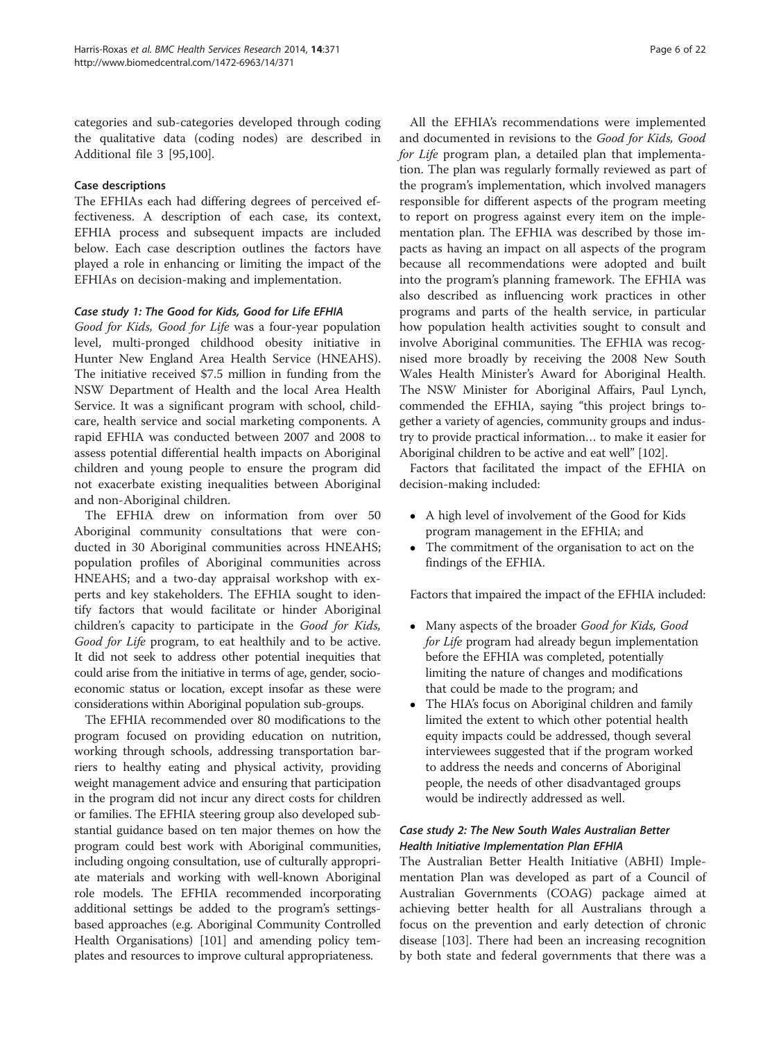categories and sub-categories developed through coding the qualitative data (coding nodes) are described in Additional file [3](#page-18-0) [[95](#page-20-0),[100](#page-21-0)].

#### Case descriptions

The EFHIAs each had differing degrees of perceived effectiveness. A description of each case, its context, EFHIA process and subsequent impacts are included below. Each case description outlines the factors have played a role in enhancing or limiting the impact of the EFHIAs on decision-making and implementation.

#### Case study 1: The Good for Kids, Good for Life EFHIA

Good for Kids, Good for Life was a four-year population level, multi-pronged childhood obesity initiative in Hunter New England Area Health Service (HNEAHS). The initiative received \$7.5 million in funding from the NSW Department of Health and the local Area Health Service. It was a significant program with school, childcare, health service and social marketing components. A rapid EFHIA was conducted between 2007 and 2008 to assess potential differential health impacts on Aboriginal children and young people to ensure the program did not exacerbate existing inequalities between Aboriginal and non-Aboriginal children.

The EFHIA drew on information from over 50 Aboriginal community consultations that were conducted in 30 Aboriginal communities across HNEAHS; population profiles of Aboriginal communities across HNEAHS; and a two-day appraisal workshop with experts and key stakeholders. The EFHIA sought to identify factors that would facilitate or hinder Aboriginal children's capacity to participate in the Good for Kids, Good for Life program, to eat healthily and to be active. It did not seek to address other potential inequities that could arise from the initiative in terms of age, gender, socioeconomic status or location, except insofar as these were considerations within Aboriginal population sub-groups.

The EFHIA recommended over 80 modifications to the program focused on providing education on nutrition, working through schools, addressing transportation barriers to healthy eating and physical activity, providing weight management advice and ensuring that participation in the program did not incur any direct costs for children or families. The EFHIA steering group also developed substantial guidance based on ten major themes on how the program could best work with Aboriginal communities, including ongoing consultation, use of culturally appropriate materials and working with well-known Aboriginal role models. The EFHIA recommended incorporating additional settings be added to the program's settingsbased approaches (e.g. Aboriginal Community Controlled Health Organisations) [\[101\]](#page-21-0) and amending policy templates and resources to improve cultural appropriateness.

All the EFHIA's recommendations were implemented and documented in revisions to the Good for Kids, Good for Life program plan, a detailed plan that implementation. The plan was regularly formally reviewed as part of the program's implementation, which involved managers responsible for different aspects of the program meeting to report on progress against every item on the implementation plan. The EFHIA was described by those impacts as having an impact on all aspects of the program because all recommendations were adopted and built into the program's planning framework. The EFHIA was also described as influencing work practices in other programs and parts of the health service, in particular how population health activities sought to consult and involve Aboriginal communities. The EFHIA was recognised more broadly by receiving the 2008 New South Wales Health Minister's Award for Aboriginal Health. The NSW Minister for Aboriginal Affairs, Paul Lynch, commended the EFHIA, saying "this project brings together a variety of agencies, community groups and industry to provide practical information… to make it easier for Aboriginal children to be active and eat well" [[102](#page-21-0)].

Factors that facilitated the impact of the EFHIA on decision-making included:

- A high level of involvement of the Good for Kids program management in the EFHIA; and
- The commitment of the organisation to act on the findings of the EFHIA.

Factors that impaired the impact of the EFHIA included:

- Many aspects of the broader Good for Kids, Good for Life program had already begun implementation before the EFHIA was completed, potentially limiting the nature of changes and modifications that could be made to the program; and
- The HIA's focus on Aboriginal children and family limited the extent to which other potential health equity impacts could be addressed, though several interviewees suggested that if the program worked to address the needs and concerns of Aboriginal people, the needs of other disadvantaged groups would be indirectly addressed as well.

### Case study 2: The New South Wales Australian Better Health Initiative Implementation Plan EFHIA

The Australian Better Health Initiative (ABHI) Implementation Plan was developed as part of a Council of Australian Governments (COAG) package aimed at achieving better health for all Australians through a focus on the prevention and early detection of chronic disease [\[103\]](#page-21-0). There had been an increasing recognition by both state and federal governments that there was a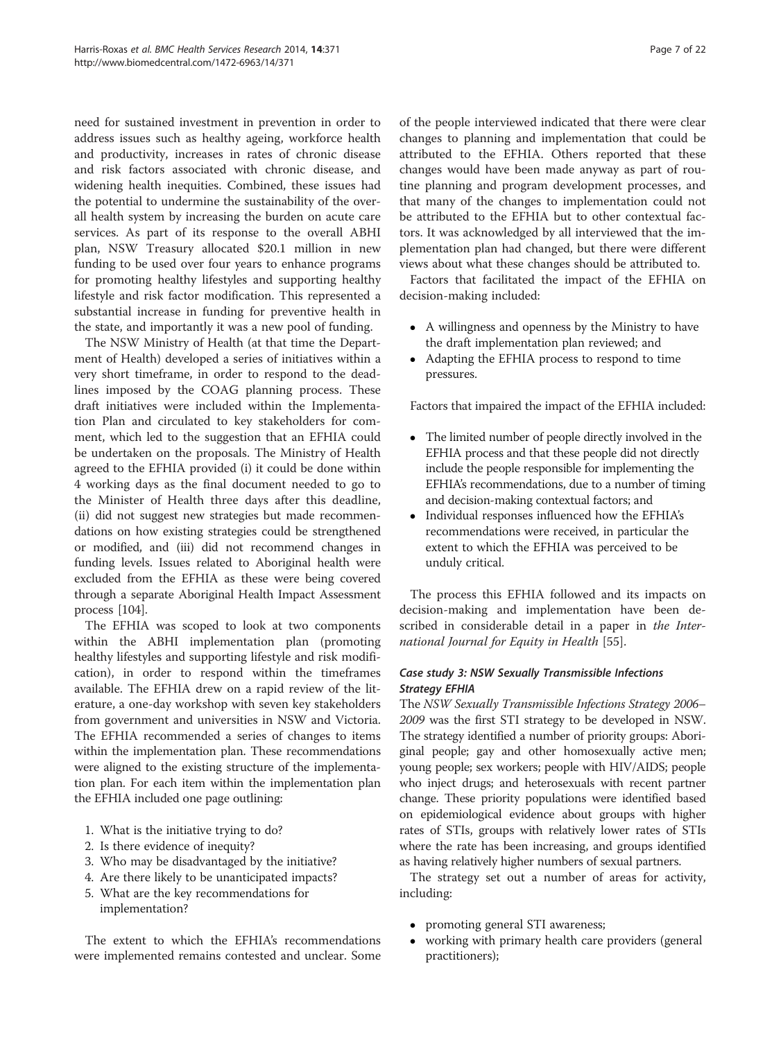need for sustained investment in prevention in order to address issues such as healthy ageing, workforce health and productivity, increases in rates of chronic disease and risk factors associated with chronic disease, and widening health inequities. Combined, these issues had the potential to undermine the sustainability of the overall health system by increasing the burden on acute care services. As part of its response to the overall ABHI plan, NSW Treasury allocated \$20.1 million in new funding to be used over four years to enhance programs for promoting healthy lifestyles and supporting healthy lifestyle and risk factor modification. This represented a substantial increase in funding for preventive health in the state, and importantly it was a new pool of funding.

The NSW Ministry of Health (at that time the Department of Health) developed a series of initiatives within a very short timeframe, in order to respond to the deadlines imposed by the COAG planning process. These draft initiatives were included within the Implementation Plan and circulated to key stakeholders for comment, which led to the suggestion that an EFHIA could be undertaken on the proposals. The Ministry of Health agreed to the EFHIA provided (i) it could be done within 4 working days as the final document needed to go to the Minister of Health three days after this deadline, (ii) did not suggest new strategies but made recommendations on how existing strategies could be strengthened or modified, and (iii) did not recommend changes in funding levels. Issues related to Aboriginal health were excluded from the EFHIA as these were being covered through a separate Aboriginal Health Impact Assessment process [\[104](#page-21-0)].

The EFHIA was scoped to look at two components within the ABHI implementation plan (promoting healthy lifestyles and supporting lifestyle and risk modification), in order to respond within the timeframes available. The EFHIA drew on a rapid review of the literature, a one-day workshop with seven key stakeholders from government and universities in NSW and Victoria. The EFHIA recommended a series of changes to items within the implementation plan. These recommendations were aligned to the existing structure of the implementation plan. For each item within the implementation plan the EFHIA included one page outlining:

- 1. What is the initiative trying to do?
- 2. Is there evidence of inequity?
- 3. Who may be disadvantaged by the initiative?
- 4. Are there likely to be unanticipated impacts?
- 5. What are the key recommendations for implementation?

The extent to which the EFHIA's recommendations were implemented remains contested and unclear. Some of the people interviewed indicated that there were clear changes to planning and implementation that could be attributed to the EFHIA. Others reported that these changes would have been made anyway as part of routine planning and program development processes, and that many of the changes to implementation could not be attributed to the EFHIA but to other contextual factors. It was acknowledged by all interviewed that the implementation plan had changed, but there were different

views about what these changes should be attributed to. Factors that facilitated the impact of the EFHIA on decision-making included:

- A willingness and openness by the Ministry to have the draft implementation plan reviewed; and
- Adapting the EFHIA process to respond to time pressures.

Factors that impaired the impact of the EFHIA included:

- The limited number of people directly involved in the EFHIA process and that these people did not directly include the people responsible for implementing the EFHIA's recommendations, due to a number of timing and decision-making contextual factors; and
- Individual responses influenced how the EFHIA's recommendations were received, in particular the extent to which the EFHIA was perceived to be unduly critical.

The process this EFHIA followed and its impacts on decision-making and implementation have been described in considerable detail in a paper in the International Journal for Equity in Health [[55\]](#page-20-0).

## Case study 3: NSW Sexually Transmissible Infections Strategy EFHIA

The NSW Sexually Transmissible Infections Strategy 2006– 2009 was the first STI strategy to be developed in NSW. The strategy identified a number of priority groups: Aboriginal people; gay and other homosexually active men; young people; sex workers; people with HIV/AIDS; people who inject drugs; and heterosexuals with recent partner change. These priority populations were identified based on epidemiological evidence about groups with higher rates of STIs, groups with relatively lower rates of STIs where the rate has been increasing, and groups identified as having relatively higher numbers of sexual partners.

The strategy set out a number of areas for activity, including:

- promoting general STI awareness;
- working with primary health care providers (general practitioners);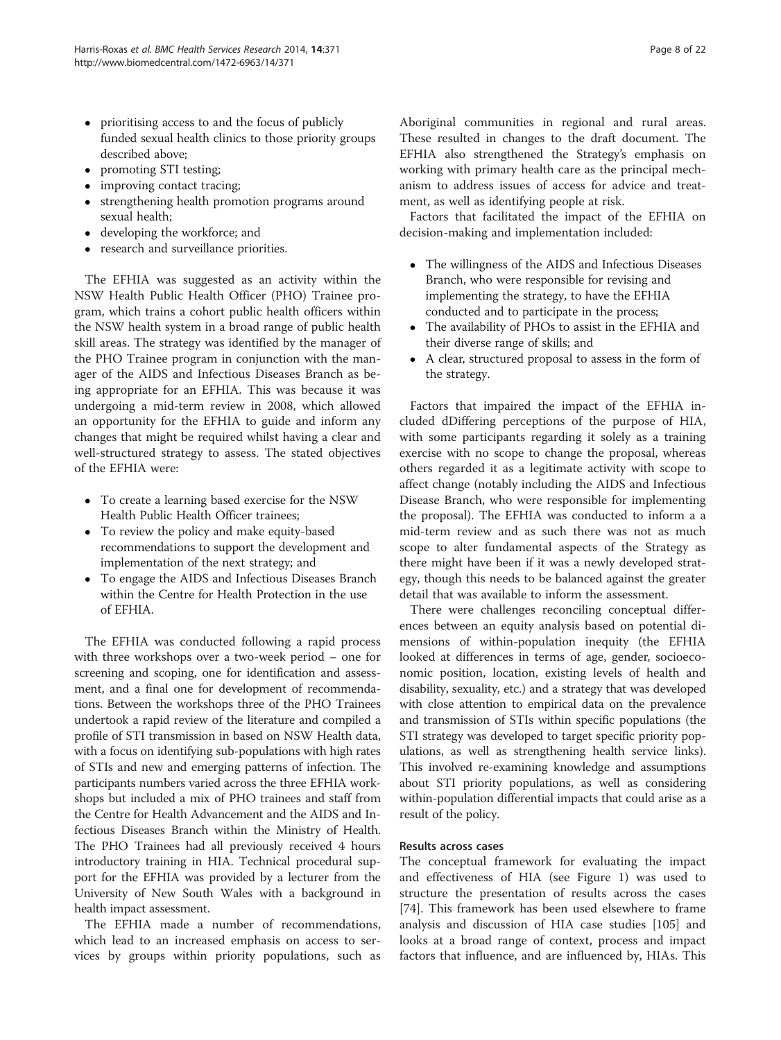- prioritising access to and the focus of publicly funded sexual health clinics to those priority groups described above;
- promoting STI testing;
- improving contact tracing;
- strengthening health promotion programs around sexual health;
- developing the workforce; and
- research and surveillance priorities.

The EFHIA was suggested as an activity within the NSW Health Public Health Officer (PHO) Trainee program, which trains a cohort public health officers within the NSW health system in a broad range of public health skill areas. The strategy was identified by the manager of the PHO Trainee program in conjunction with the manager of the AIDS and Infectious Diseases Branch as being appropriate for an EFHIA. This was because it was undergoing a mid-term review in 2008, which allowed an opportunity for the EFHIA to guide and inform any changes that might be required whilst having a clear and well-structured strategy to assess. The stated objectives of the EFHIA were:

- To create a learning based exercise for the NSW Health Public Health Officer trainees;
- To review the policy and make equity-based recommendations to support the development and implementation of the next strategy; and
- To engage the AIDS and Infectious Diseases Branch within the Centre for Health Protection in the use of EFHIA.

The EFHIA was conducted following a rapid process with three workshops over a two-week period – one for screening and scoping, one for identification and assessment, and a final one for development of recommendations. Between the workshops three of the PHO Trainees undertook a rapid review of the literature and compiled a profile of STI transmission in based on NSW Health data, with a focus on identifying sub-populations with high rates of STIs and new and emerging patterns of infection. The participants numbers varied across the three EFHIA workshops but included a mix of PHO trainees and staff from the Centre for Health Advancement and the AIDS and Infectious Diseases Branch within the Ministry of Health. The PHO Trainees had all previously received 4 hours introductory training in HIA. Technical procedural support for the EFHIA was provided by a lecturer from the University of New South Wales with a background in health impact assessment.

The EFHIA made a number of recommendations, which lead to an increased emphasis on access to services by groups within priority populations, such as

Aboriginal communities in regional and rural areas. These resulted in changes to the draft document. The EFHIA also strengthened the Strategy's emphasis on working with primary health care as the principal mechanism to address issues of access for advice and treatment, as well as identifying people at risk.

Factors that facilitated the impact of the EFHIA on decision-making and implementation included:

- The willingness of the AIDS and Infectious Diseases Branch, who were responsible for revising and implementing the strategy, to have the EFHIA conducted and to participate in the process;
- The availability of PHOs to assist in the EFHIA and their diverse range of skills; and
- A clear, structured proposal to assess in the form of the strategy.

Factors that impaired the impact of the EFHIA included dDiffering perceptions of the purpose of HIA, with some participants regarding it solely as a training exercise with no scope to change the proposal, whereas others regarded it as a legitimate activity with scope to affect change (notably including the AIDS and Infectious Disease Branch, who were responsible for implementing the proposal). The EFHIA was conducted to inform a a mid-term review and as such there was not as much scope to alter fundamental aspects of the Strategy as there might have been if it was a newly developed strategy, though this needs to be balanced against the greater detail that was available to inform the assessment.

There were challenges reconciling conceptual differences between an equity analysis based on potential dimensions of within-population inequity (the EFHIA looked at differences in terms of age, gender, socioeconomic position, location, existing levels of health and disability, sexuality, etc.) and a strategy that was developed with close attention to empirical data on the prevalence and transmission of STIs within specific populations (the STI strategy was developed to target specific priority populations, as well as strengthening health service links). This involved re-examining knowledge and assumptions about STI priority populations, as well as considering within-population differential impacts that could arise as a result of the policy.

### Results across cases

The conceptual framework for evaluating the impact and effectiveness of HIA (see Figure [1\)](#page-2-0) was used to structure the presentation of results across the cases [[74\]](#page-20-0). This framework has been used elsewhere to frame analysis and discussion of HIA case studies [[105\]](#page-21-0) and looks at a broad range of context, process and impact factors that influence, and are influenced by, HIAs. This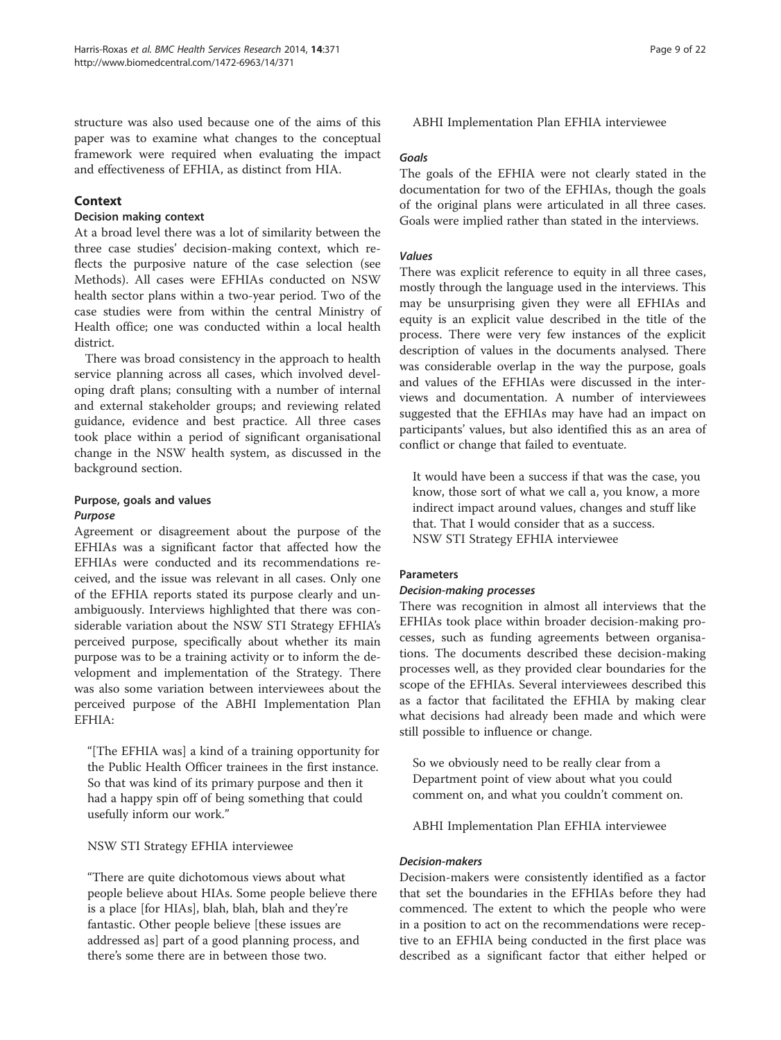structure was also used because one of the aims of this paper was to examine what changes to the conceptual framework were required when evaluating the impact and effectiveness of EFHIA, as distinct from HIA.

### Context

## Decision making context

At a broad level there was a lot of similarity between the three case studies' decision-making context, which reflects the purposive nature of the case selection (see [Methods\)](#page-3-0). All cases were EFHIAs conducted on NSW health sector plans within a two-year period. Two of the case studies were from within the central Ministry of Health office; one was conducted within a local health district.

There was broad consistency in the approach to health service planning across all cases, which involved developing draft plans; consulting with a number of internal and external stakeholder groups; and reviewing related guidance, evidence and best practice. All three cases took place within a period of significant organisational change in the NSW health system, as discussed in the background section.

## Purpose, goals and values

#### Purpose

Agreement or disagreement about the purpose of the EFHIAs was a significant factor that affected how the EFHIAs were conducted and its recommendations received, and the issue was relevant in all cases. Only one of the EFHIA reports stated its purpose clearly and unambiguously. Interviews highlighted that there was considerable variation about the NSW STI Strategy EFHIA's perceived purpose, specifically about whether its main purpose was to be a training activity or to inform the development and implementation of the Strategy. There was also some variation between interviewees about the perceived purpose of the ABHI Implementation Plan EFHIA:

"[The EFHIA was] a kind of a training opportunity for the Public Health Officer trainees in the first instance. So that was kind of its primary purpose and then it had a happy spin off of being something that could usefully inform our work."

NSW STI Strategy EFHIA interviewee

"There are quite dichotomous views about what people believe about HIAs. Some people believe there is a place [for HIAs], blah, blah, blah and they're fantastic. Other people believe [these issues are addressed as] part of a good planning process, and there's some there are in between those two.

ABHI Implementation Plan EFHIA interviewee

### Goals

The goals of the EFHIA were not clearly stated in the documentation for two of the EFHIAs, though the goals of the original plans were articulated in all three cases. Goals were implied rather than stated in the interviews.

### Values

There was explicit reference to equity in all three cases, mostly through the language used in the interviews. This may be unsurprising given they were all EFHIAs and equity is an explicit value described in the title of the process. There were very few instances of the explicit description of values in the documents analysed. There was considerable overlap in the way the purpose, goals and values of the EFHIAs were discussed in the interviews and documentation. A number of interviewees suggested that the EFHIAs may have had an impact on participants' values, but also identified this as an area of conflict or change that failed to eventuate.

It would have been a success if that was the case, you know, those sort of what we call a, you know, a more indirect impact around values, changes and stuff like that. That I would consider that as a success. NSW STI Strategy EFHIA interviewee

### Parameters

#### Decision-making processes

There was recognition in almost all interviews that the EFHIAs took place within broader decision-making processes, such as funding agreements between organisations. The documents described these decision-making processes well, as they provided clear boundaries for the scope of the EFHIAs. Several interviewees described this as a factor that facilitated the EFHIA by making clear what decisions had already been made and which were still possible to influence or change.

So we obviously need to be really clear from a Department point of view about what you could comment on, and what you couldn't comment on.

ABHI Implementation Plan EFHIA interviewee

#### Decision-makers

Decision-makers were consistently identified as a factor that set the boundaries in the EFHIAs before they had commenced. The extent to which the people who were in a position to act on the recommendations were receptive to an EFHIA being conducted in the first place was described as a significant factor that either helped or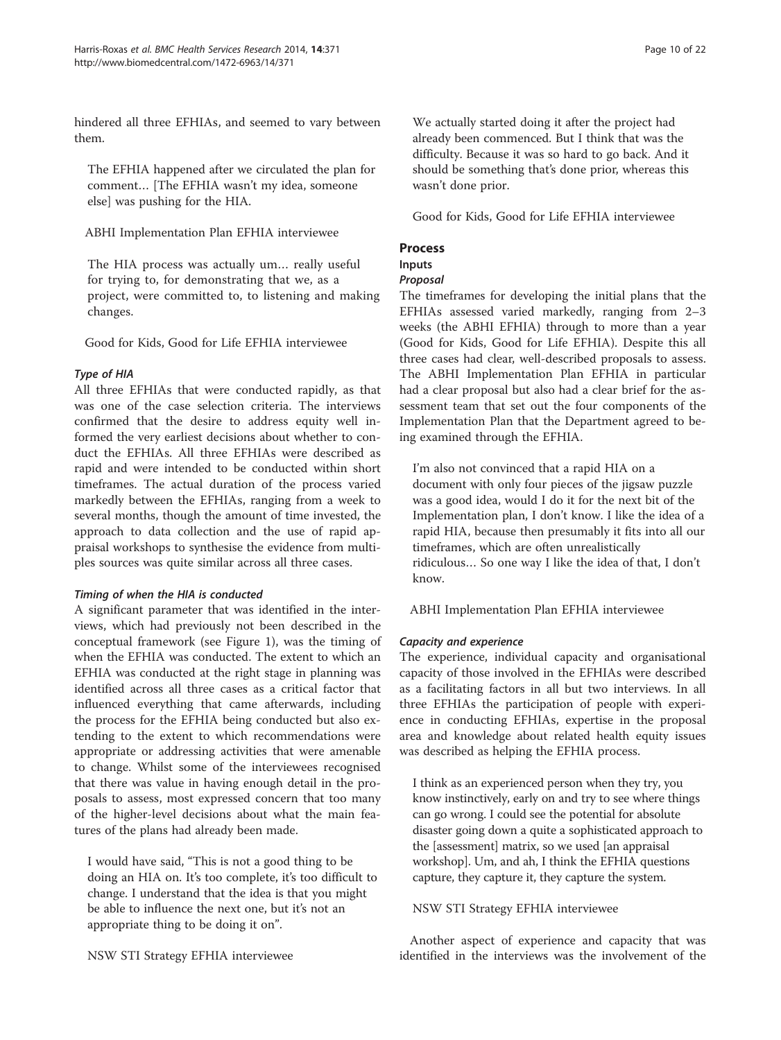hindered all three EFHIAs, and seemed to vary between them.

The EFHIA happened after we circulated the plan for comment… [The EFHIA wasn't my idea, someone else] was pushing for the HIA.

ABHI Implementation Plan EFHIA interviewee

The HIA process was actually um… really useful for trying to, for demonstrating that we, as a project, were committed to, to listening and making changes.

Good for Kids, Good for Life EFHIA interviewee

### Type of HIA

All three EFHIAs that were conducted rapidly, as that was one of the case selection criteria. The interviews confirmed that the desire to address equity well informed the very earliest decisions about whether to conduct the EFHIAs. All three EFHIAs were described as rapid and were intended to be conducted within short timeframes. The actual duration of the process varied markedly between the EFHIAs, ranging from a week to several months, though the amount of time invested, the approach to data collection and the use of rapid appraisal workshops to synthesise the evidence from multiples sources was quite similar across all three cases.

### Timing of when the HIA is conducted

A significant parameter that was identified in the interviews, which had previously not been described in the conceptual framework (see Figure [1](#page-2-0)), was the timing of when the EFHIA was conducted. The extent to which an EFHIA was conducted at the right stage in planning was identified across all three cases as a critical factor that influenced everything that came afterwards, including the process for the EFHIA being conducted but also extending to the extent to which recommendations were appropriate or addressing activities that were amenable to change. Whilst some of the interviewees recognised that there was value in having enough detail in the proposals to assess, most expressed concern that too many of the higher-level decisions about what the main features of the plans had already been made.

I would have said, "This is not a good thing to be doing an HIA on. It's too complete, it's too difficult to change. I understand that the idea is that you might be able to influence the next one, but it's not an appropriate thing to be doing it on".

We actually started doing it after the project had already been commenced. But I think that was the difficulty. Because it was so hard to go back. And it should be something that's done prior, whereas this wasn't done prior.

Good for Kids, Good for Life EFHIA interviewee

## Process

#### Inputs Proposal

The timeframes for developing the initial plans that the EFHIAs assessed varied markedly, ranging from 2–3 weeks (the ABHI EFHIA) through to more than a year (Good for Kids, Good for Life EFHIA). Despite this all three cases had clear, well-described proposals to assess. The ABHI Implementation Plan EFHIA in particular had a clear proposal but also had a clear brief for the assessment team that set out the four components of the Implementation Plan that the Department agreed to being examined through the EFHIA.

I'm also not convinced that a rapid HIA on a document with only four pieces of the jigsaw puzzle was a good idea, would I do it for the next bit of the Implementation plan, I don't know. I like the idea of a rapid HIA, because then presumably it fits into all our timeframes, which are often unrealistically ridiculous… So one way I like the idea of that, I don't know.

ABHI Implementation Plan EFHIA interviewee

### Capacity and experience

The experience, individual capacity and organisational capacity of those involved in the EFHIAs were described as a facilitating factors in all but two interviews. In all three EFHIAs the participation of people with experience in conducting EFHIAs, expertise in the proposal area and knowledge about related health equity issues was described as helping the EFHIA process.

I think as an experienced person when they try, you know instinctively, early on and try to see where things can go wrong. I could see the potential for absolute disaster going down a quite a sophisticated approach to the [assessment] matrix, so we used [an appraisal workshop]. Um, and ah, I think the EFHIA questions capture, they capture it, they capture the system.

### NSW STI Strategy EFHIA interviewee

Another aspect of experience and capacity that was identified in the interviews was the involvement of the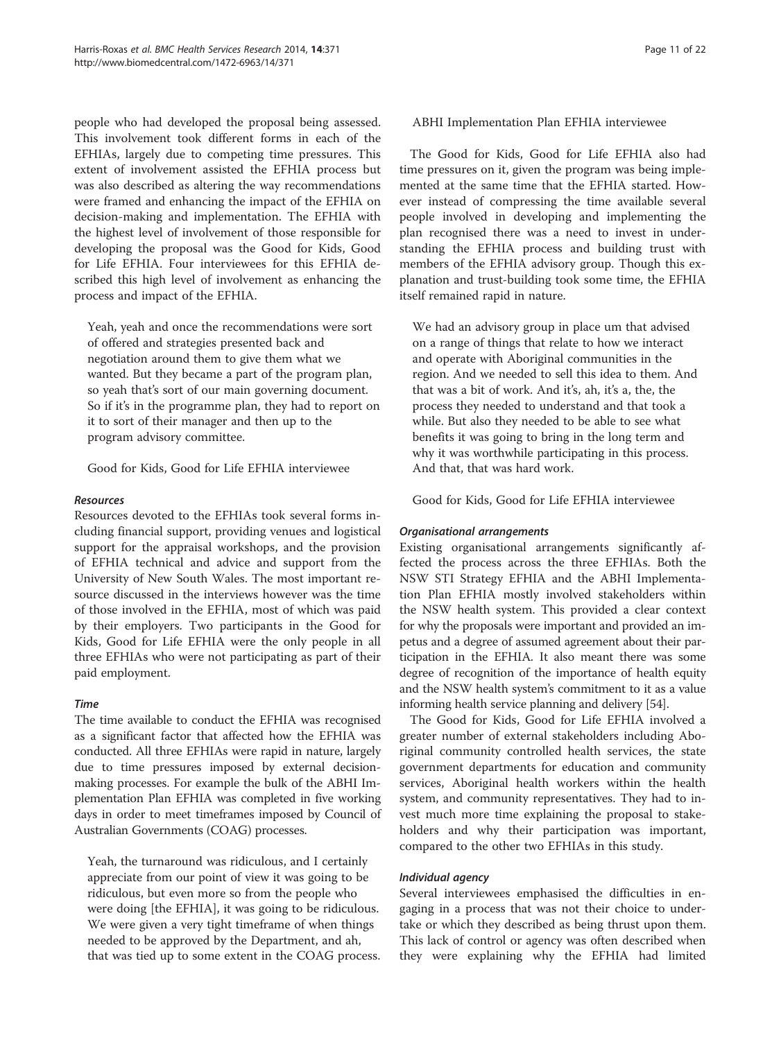people who had developed the proposal being assessed. This involvement took different forms in each of the EFHIAs, largely due to competing time pressures. This extent of involvement assisted the EFHIA process but was also described as altering the way recommendations were framed and enhancing the impact of the EFHIA on decision-making and implementation. The EFHIA with the highest level of involvement of those responsible for developing the proposal was the Good for Kids, Good for Life EFHIA. Four interviewees for this EFHIA described this high level of involvement as enhancing the process and impact of the EFHIA.

Yeah, yeah and once the recommendations were sort of offered and strategies presented back and negotiation around them to give them what we wanted. But they became a part of the program plan, so yeah that's sort of our main governing document. So if it's in the programme plan, they had to report on it to sort of their manager and then up to the program advisory committee.

Good for Kids, Good for Life EFHIA interviewee

#### Resources

Resources devoted to the EFHIAs took several forms including financial support, providing venues and logistical support for the appraisal workshops, and the provision of EFHIA technical and advice and support from the University of New South Wales. The most important resource discussed in the interviews however was the time of those involved in the EFHIA, most of which was paid by their employers. Two participants in the Good for Kids, Good for Life EFHIA were the only people in all three EFHIAs who were not participating as part of their paid employment.

### Time

The time available to conduct the EFHIA was recognised as a significant factor that affected how the EFHIA was conducted. All three EFHIAs were rapid in nature, largely due to time pressures imposed by external decisionmaking processes. For example the bulk of the ABHI Implementation Plan EFHIA was completed in five working days in order to meet timeframes imposed by Council of Australian Governments (COAG) processes.

Yeah, the turnaround was ridiculous, and I certainly appreciate from our point of view it was going to be ridiculous, but even more so from the people who were doing [the EFHIA], it was going to be ridiculous. We were given a very tight timeframe of when things needed to be approved by the Department, and ah, that was tied up to some extent in the COAG process.

#### ABHI Implementation Plan EFHIA interviewee

The Good for Kids, Good for Life EFHIA also had time pressures on it, given the program was being implemented at the same time that the EFHIA started. However instead of compressing the time available several people involved in developing and implementing the plan recognised there was a need to invest in understanding the EFHIA process and building trust with members of the EFHIA advisory group. Though this explanation and trust-building took some time, the EFHIA itself remained rapid in nature.

We had an advisory group in place um that advised on a range of things that relate to how we interact and operate with Aboriginal communities in the region. And we needed to sell this idea to them. And that was a bit of work. And it's, ah, it's a, the, the process they needed to understand and that took a while. But also they needed to be able to see what benefits it was going to bring in the long term and why it was worthwhile participating in this process. And that, that was hard work.

Good for Kids, Good for Life EFHIA interviewee

### Organisational arrangements

Existing organisational arrangements significantly affected the process across the three EFHIAs. Both the NSW STI Strategy EFHIA and the ABHI Implementation Plan EFHIA mostly involved stakeholders within the NSW health system. This provided a clear context for why the proposals were important and provided an impetus and a degree of assumed agreement about their participation in the EFHIA. It also meant there was some degree of recognition of the importance of health equity and the NSW health system's commitment to it as a value informing health service planning and delivery [[54](#page-20-0)].

The Good for Kids, Good for Life EFHIA involved a greater number of external stakeholders including Aboriginal community controlled health services, the state government departments for education and community services, Aboriginal health workers within the health system, and community representatives. They had to invest much more time explaining the proposal to stakeholders and why their participation was important, compared to the other two EFHIAs in this study.

### Individual agency

Several interviewees emphasised the difficulties in engaging in a process that was not their choice to undertake or which they described as being thrust upon them. This lack of control or agency was often described when they were explaining why the EFHIA had limited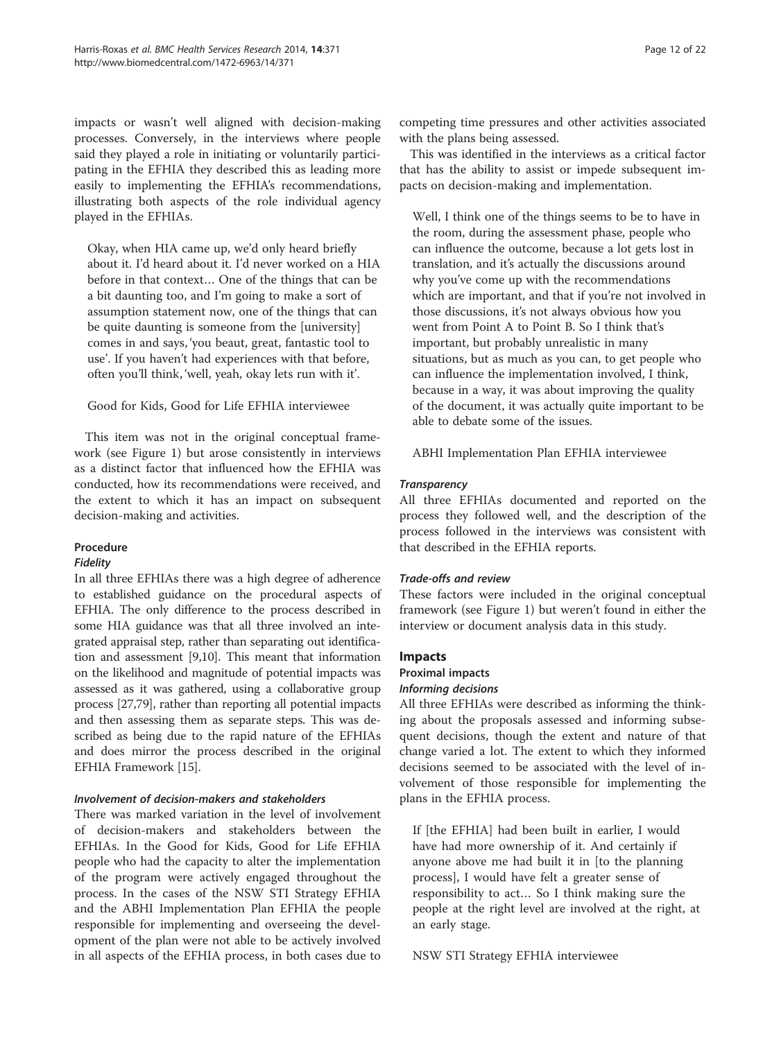impacts or wasn't well aligned with decision-making processes. Conversely, in the interviews where people said they played a role in initiating or voluntarily participating in the EFHIA they described this as leading more easily to implementing the EFHIA's recommendations, illustrating both aspects of the role individual agency played in the EFHIAs.

Okay, when HIA came up, we'd only heard briefly about it. I'd heard about it. I'd never worked on a HIA before in that context… One of the things that can be a bit daunting too, and I'm going to make a sort of assumption statement now, one of the things that can be quite daunting is someone from the [university] comes in and says, 'you beaut, great, fantastic tool to use'. If you haven't had experiences with that before, often you'll think, 'well, yeah, okay lets run with it'.

Good for Kids, Good for Life EFHIA interviewee

This item was not in the original conceptual framework (see Figure [1](#page-2-0)) but arose consistently in interviews as a distinct factor that influenced how the EFHIA was conducted, how its recommendations were received, and the extent to which it has an impact on subsequent decision-making and activities.

### Procedure

### Fidelity

In all three EFHIAs there was a high degree of adherence to established guidance on the procedural aspects of EFHIA. The only difference to the process described in some HIA guidance was that all three involved an integrated appraisal step, rather than separating out identification and assessment [[9,10](#page-19-0)]. This meant that information on the likelihood and magnitude of potential impacts was assessed as it was gathered, using a collaborative group process [\[27](#page-19-0)[,79\]](#page-20-0), rather than reporting all potential impacts and then assessing them as separate steps. This was described as being due to the rapid nature of the EFHIAs and does mirror the process described in the original EFHIA Framework [\[15](#page-19-0)].

### Involvement of decision-makers and stakeholders

There was marked variation in the level of involvement of decision-makers and stakeholders between the EFHIAs. In the Good for Kids, Good for Life EFHIA people who had the capacity to alter the implementation of the program were actively engaged throughout the process. In the cases of the NSW STI Strategy EFHIA and the ABHI Implementation Plan EFHIA the people responsible for implementing and overseeing the development of the plan were not able to be actively involved in all aspects of the EFHIA process, in both cases due to

competing time pressures and other activities associated with the plans being assessed.

This was identified in the interviews as a critical factor that has the ability to assist or impede subsequent impacts on decision-making and implementation.

Well, I think one of the things seems to be to have in the room, during the assessment phase, people who can influence the outcome, because a lot gets lost in translation, and it's actually the discussions around why you've come up with the recommendations which are important, and that if you're not involved in those discussions, it's not always obvious how you went from Point A to Point B. So I think that's important, but probably unrealistic in many situations, but as much as you can, to get people who can influence the implementation involved, I think, because in a way, it was about improving the quality of the document, it was actually quite important to be able to debate some of the issues.

ABHI Implementation Plan EFHIA interviewee

### **Transparency**

All three EFHIAs documented and reported on the process they followed well, and the description of the process followed in the interviews was consistent with that described in the EFHIA reports.

### Trade-offs and review

These factors were included in the original conceptual framework (see Figure [1\)](#page-2-0) but weren't found in either the interview or document analysis data in this study.

## Impacts

## Proximal impacts

### Informing decisions

All three EFHIAs were described as informing the thinking about the proposals assessed and informing subsequent decisions, though the extent and nature of that change varied a lot. The extent to which they informed decisions seemed to be associated with the level of involvement of those responsible for implementing the plans in the EFHIA process.

If [the EFHIA] had been built in earlier, I would have had more ownership of it. And certainly if anyone above me had built it in [to the planning process], I would have felt a greater sense of responsibility to act… So I think making sure the people at the right level are involved at the right, at an early stage.

NSW STI Strategy EFHIA interviewee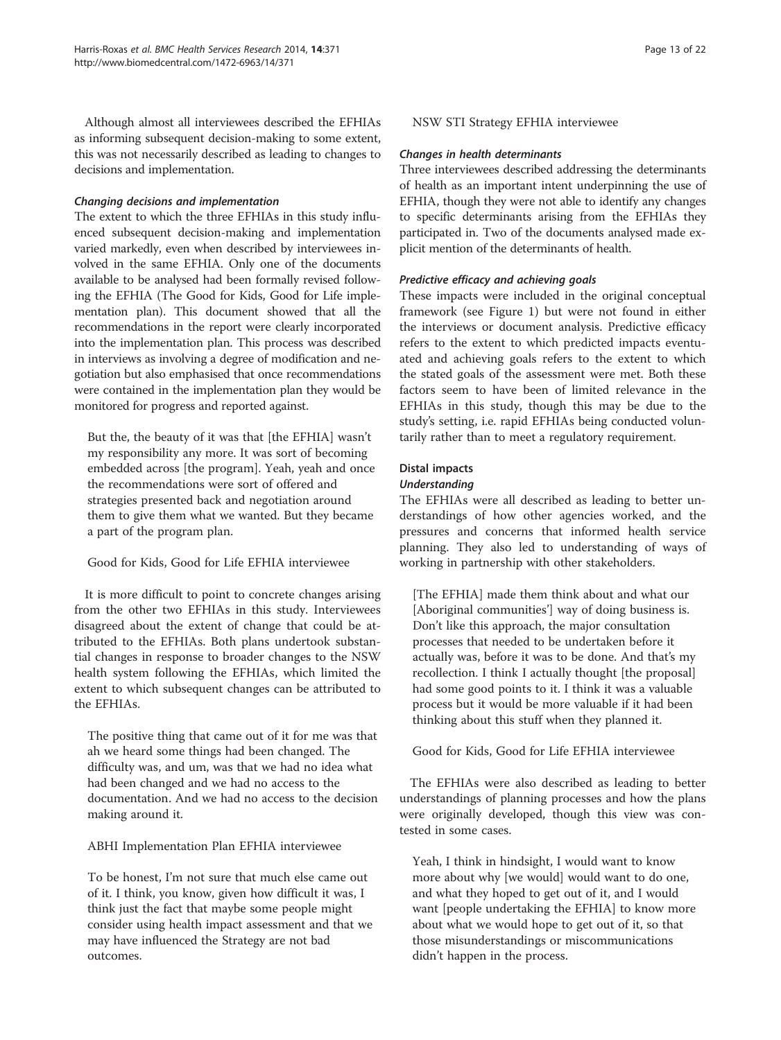Although almost all interviewees described the EFHIAs as informing subsequent decision-making to some extent, this was not necessarily described as leading to changes to decisions and implementation.

#### Changing decisions and implementation

The extent to which the three EFHIAs in this study influenced subsequent decision-making and implementation varied markedly, even when described by interviewees involved in the same EFHIA. Only one of the documents available to be analysed had been formally revised following the EFHIA (The Good for Kids, Good for Life implementation plan). This document showed that all the recommendations in the report were clearly incorporated into the implementation plan. This process was described in interviews as involving a degree of modification and negotiation but also emphasised that once recommendations were contained in the implementation plan they would be monitored for progress and reported against.

But the, the beauty of it was that [the EFHIA] wasn't my responsibility any more. It was sort of becoming embedded across [the program]. Yeah, yeah and once the recommendations were sort of offered and strategies presented back and negotiation around them to give them what we wanted. But they became a part of the program plan.

### Good for Kids, Good for Life EFHIA interviewee

It is more difficult to point to concrete changes arising from the other two EFHIAs in this study. Interviewees disagreed about the extent of change that could be attributed to the EFHIAs. Both plans undertook substantial changes in response to broader changes to the NSW health system following the EFHIAs, which limited the extent to which subsequent changes can be attributed to the EFHIAs.

The positive thing that came out of it for me was that ah we heard some things had been changed. The difficulty was, and um, was that we had no idea what had been changed and we had no access to the documentation. And we had no access to the decision making around it.

### ABHI Implementation Plan EFHIA interviewee

To be honest, I'm not sure that much else came out of it. I think, you know, given how difficult it was, I think just the fact that maybe some people might consider using health impact assessment and that we may have influenced the Strategy are not bad outcomes.

#### NSW STI Strategy EFHIA interviewee

#### Changes in health determinants

Three interviewees described addressing the determinants of health as an important intent underpinning the use of EFHIA, though they were not able to identify any changes to specific determinants arising from the EFHIAs they participated in. Two of the documents analysed made explicit mention of the determinants of health.

### Predictive efficacy and achieving goals

These impacts were included in the original conceptual framework (see Figure [1\)](#page-2-0) but were not found in either the interviews or document analysis. Predictive efficacy refers to the extent to which predicted impacts eventuated and achieving goals refers to the extent to which the stated goals of the assessment were met. Both these factors seem to have been of limited relevance in the EFHIAs in this study, though this may be due to the study's setting, i.e. rapid EFHIAs being conducted voluntarily rather than to meet a regulatory requirement.

## Distal impacts

#### Understanding

The EFHIAs were all described as leading to better understandings of how other agencies worked, and the pressures and concerns that informed health service planning. They also led to understanding of ways of working in partnership with other stakeholders.

[The EFHIA] made them think about and what our [Aboriginal communities'] way of doing business is. Don't like this approach, the major consultation processes that needed to be undertaken before it actually was, before it was to be done. And that's my recollection. I think I actually thought [the proposal] had some good points to it. I think it was a valuable process but it would be more valuable if it had been thinking about this stuff when they planned it.

Good for Kids, Good for Life EFHIA interviewee

The EFHIAs were also described as leading to better understandings of planning processes and how the plans were originally developed, though this view was contested in some cases.

Yeah, I think in hindsight, I would want to know more about why [we would] would want to do one, and what they hoped to get out of it, and I would want [people undertaking the EFHIA] to know more about what we would hope to get out of it, so that those misunderstandings or miscommunications didn't happen in the process.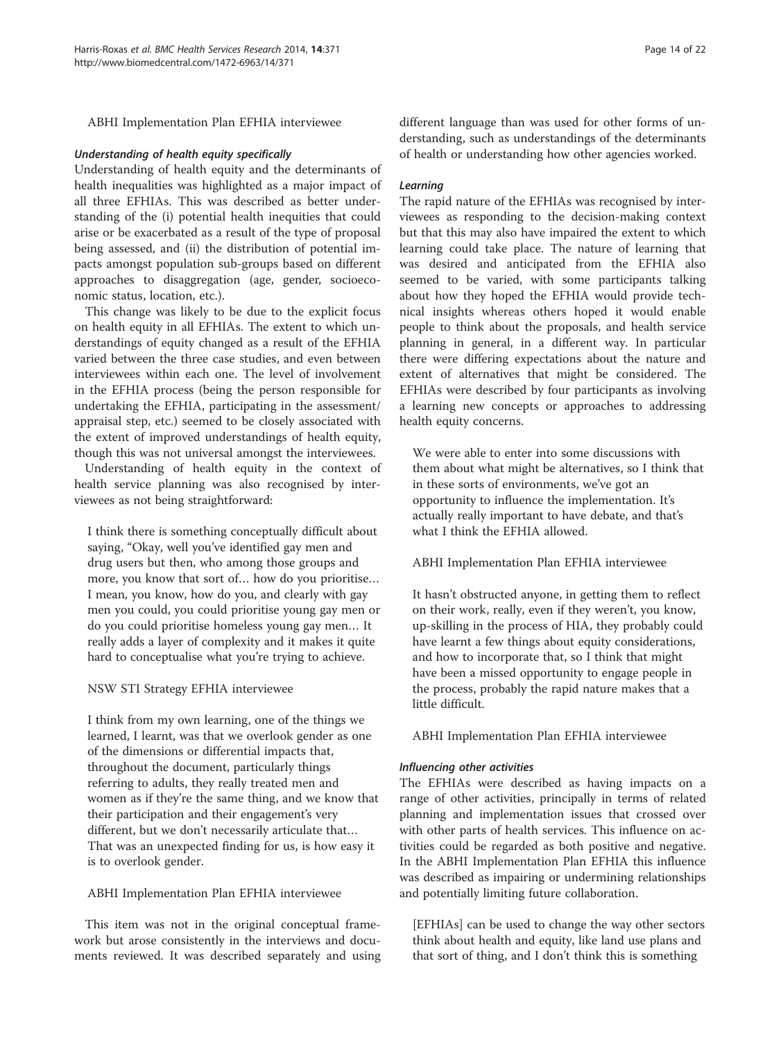ABHI Implementation Plan EFHIA interviewee

#### Understanding of health equity specifically

Understanding of health equity and the determinants of health inequalities was highlighted as a major impact of all three EFHIAs. This was described as better understanding of the (i) potential health inequities that could arise or be exacerbated as a result of the type of proposal being assessed, and (ii) the distribution of potential impacts amongst population sub-groups based on different approaches to disaggregation (age, gender, socioeconomic status, location, etc.).

This change was likely to be due to the explicit focus on health equity in all EFHIAs. The extent to which understandings of equity changed as a result of the EFHIA varied between the three case studies, and even between interviewees within each one. The level of involvement in the EFHIA process (being the person responsible for undertaking the EFHIA, participating in the assessment/ appraisal step, etc.) seemed to be closely associated with the extent of improved understandings of health equity, though this was not universal amongst the interviewees.

Understanding of health equity in the context of health service planning was also recognised by interviewees as not being straightforward:

I think there is something conceptually difficult about saying, "Okay, well you've identified gay men and drug users but then, who among those groups and more, you know that sort of… how do you prioritise… I mean, you know, how do you, and clearly with gay men you could, you could prioritise young gay men or do you could prioritise homeless young gay men… It really adds a layer of complexity and it makes it quite hard to conceptualise what you're trying to achieve.

### NSW STI Strategy EFHIA interviewee

I think from my own learning, one of the things we learned, I learnt, was that we overlook gender as one of the dimensions or differential impacts that, throughout the document, particularly things referring to adults, they really treated men and women as if they're the same thing, and we know that their participation and their engagement's very different, but we don't necessarily articulate that… That was an unexpected finding for us, is how easy it is to overlook gender.

### ABHI Implementation Plan EFHIA interviewee

This item was not in the original conceptual framework but arose consistently in the interviews and documents reviewed. It was described separately and using different language than was used for other forms of understanding, such as understandings of the determinants of health or understanding how other agencies worked.

#### Learning

The rapid nature of the EFHIAs was recognised by interviewees as responding to the decision-making context but that this may also have impaired the extent to which learning could take place. The nature of learning that was desired and anticipated from the EFHIA also seemed to be varied, with some participants talking about how they hoped the EFHIA would provide technical insights whereas others hoped it would enable people to think about the proposals, and health service planning in general, in a different way. In particular there were differing expectations about the nature and extent of alternatives that might be considered. The EFHIAs were described by four participants as involving a learning new concepts or approaches to addressing health equity concerns.

We were able to enter into some discussions with them about what might be alternatives, so I think that in these sorts of environments, we've got an opportunity to influence the implementation. It's actually really important to have debate, and that's what I think the EFHIA allowed.

ABHI Implementation Plan EFHIA interviewee

It hasn't obstructed anyone, in getting them to reflect on their work, really, even if they weren't, you know, up-skilling in the process of HIA, they probably could have learnt a few things about equity considerations, and how to incorporate that, so I think that might have been a missed opportunity to engage people in the process, probably the rapid nature makes that a little difficult.

ABHI Implementation Plan EFHIA interviewee

### Influencing other activities

The EFHIAs were described as having impacts on a range of other activities, principally in terms of related planning and implementation issues that crossed over with other parts of health services. This influence on activities could be regarded as both positive and negative. In the ABHI Implementation Plan EFHIA this influence was described as impairing or undermining relationships and potentially limiting future collaboration.

[EFHIAs] can be used to change the way other sectors think about health and equity, like land use plans and that sort of thing, and I don't think this is something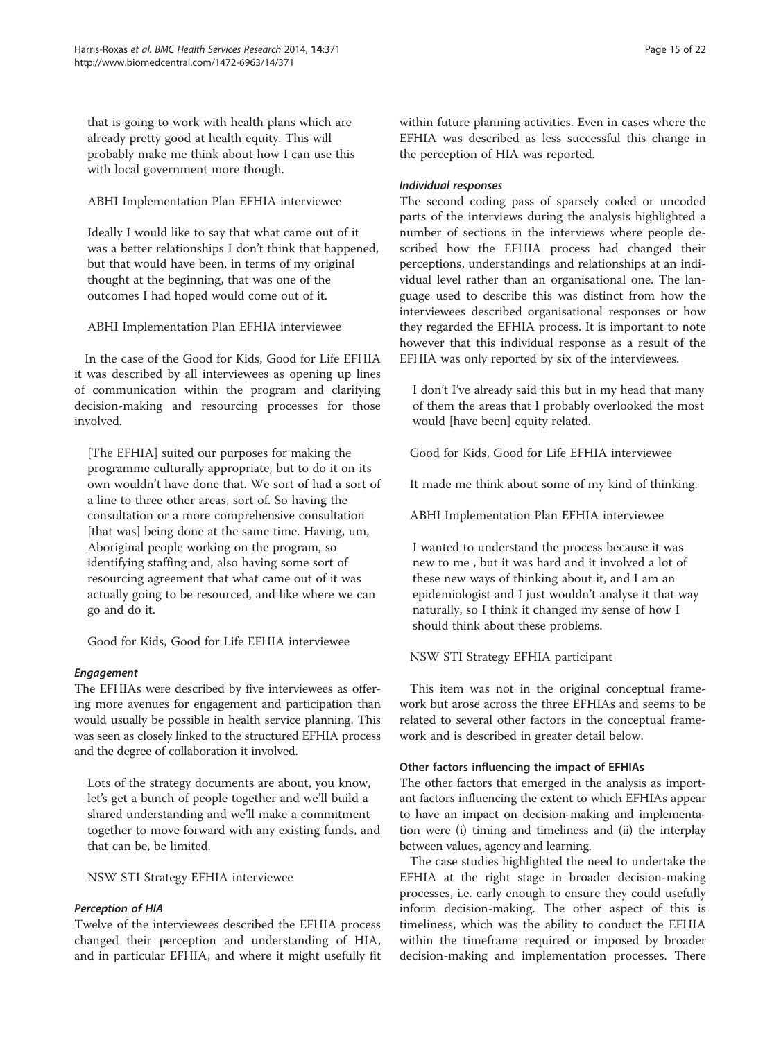that is going to work with health plans which are already pretty good at health equity. This will probably make me think about how I can use this with local government more though.

ABHI Implementation Plan EFHIA interviewee

Ideally I would like to say that what came out of it was a better relationships I don't think that happened, but that would have been, in terms of my original thought at the beginning, that was one of the outcomes I had hoped would come out of it.

ABHI Implementation Plan EFHIA interviewee

In the case of the Good for Kids, Good for Life EFHIA it was described by all interviewees as opening up lines of communication within the program and clarifying decision-making and resourcing processes for those involved.

[The EFHIA] suited our purposes for making the programme culturally appropriate, but to do it on its own wouldn't have done that. We sort of had a sort of a line to three other areas, sort of. So having the consultation or a more comprehensive consultation [that was] being done at the same time. Having, um, Aboriginal people working on the program, so identifying staffing and, also having some sort of resourcing agreement that what came out of it was actually going to be resourced, and like where we can go and do it.

Good for Kids, Good for Life EFHIA interviewee

## Engagement

The EFHIAs were described by five interviewees as offering more avenues for engagement and participation than would usually be possible in health service planning. This was seen as closely linked to the structured EFHIA process and the degree of collaboration it involved.

Lots of the strategy documents are about, you know, let's get a bunch of people together and we'll build a shared understanding and we'll make a commitment together to move forward with any existing funds, and that can be, be limited.

NSW STI Strategy EFHIA interviewee

### Perception of HIA

Twelve of the interviewees described the EFHIA process changed their perception and understanding of HIA, and in particular EFHIA, and where it might usefully fit within future planning activities. Even in cases where the EFHIA was described as less successful this change in the perception of HIA was reported.

#### Individual responses

The second coding pass of sparsely coded or uncoded parts of the interviews during the analysis highlighted a number of sections in the interviews where people described how the EFHIA process had changed their perceptions, understandings and relationships at an individual level rather than an organisational one. The language used to describe this was distinct from how the interviewees described organisational responses or how they regarded the EFHIA process. It is important to note however that this individual response as a result of the EFHIA was only reported by six of the interviewees.

I don't I've already said this but in my head that many of them the areas that I probably overlooked the most would [have been] equity related.

Good for Kids, Good for Life EFHIA interviewee

It made me think about some of my kind of thinking.

ABHI Implementation Plan EFHIA interviewee

I wanted to understand the process because it was new to me , but it was hard and it involved a lot of these new ways of thinking about it, and I am an epidemiologist and I just wouldn't analyse it that way naturally, so I think it changed my sense of how I should think about these problems.

NSW STI Strategy EFHIA participant

This item was not in the original conceptual framework but arose across the three EFHIAs and seems to be related to several other factors in the conceptual framework and is described in greater detail below.

### Other factors influencing the impact of EFHIAs

The other factors that emerged in the analysis as important factors influencing the extent to which EFHIAs appear to have an impact on decision-making and implementation were (i) timing and timeliness and (ii) the interplay between values, agency and learning.

The case studies highlighted the need to undertake the EFHIA at the right stage in broader decision-making processes, i.e. early enough to ensure they could usefully inform decision-making. The other aspect of this is timeliness, which was the ability to conduct the EFHIA within the timeframe required or imposed by broader decision-making and implementation processes. There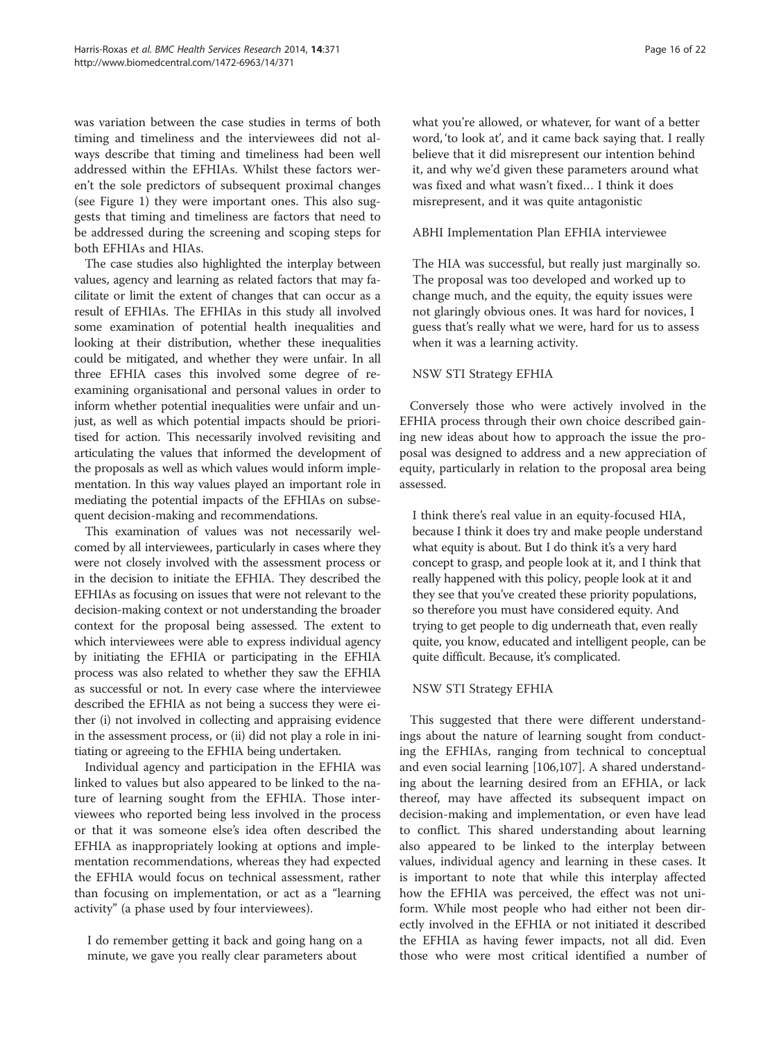was variation between the case studies in terms of both timing and timeliness and the interviewees did not always describe that timing and timeliness had been well addressed within the EFHIAs. Whilst these factors weren't the sole predictors of subsequent proximal changes (see Figure [1\)](#page-2-0) they were important ones. This also suggests that timing and timeliness are factors that need to be addressed during the screening and scoping steps for both EFHIAs and HIAs.

The case studies also highlighted the interplay between values, agency and learning as related factors that may facilitate or limit the extent of changes that can occur as a result of EFHIAs. The EFHIAs in this study all involved some examination of potential health inequalities and looking at their distribution, whether these inequalities could be mitigated, and whether they were unfair. In all three EFHIA cases this involved some degree of reexamining organisational and personal values in order to inform whether potential inequalities were unfair and unjust, as well as which potential impacts should be prioritised for action. This necessarily involved revisiting and articulating the values that informed the development of the proposals as well as which values would inform implementation. In this way values played an important role in mediating the potential impacts of the EFHIAs on subsequent decision-making and recommendations.

This examination of values was not necessarily welcomed by all interviewees, particularly in cases where they were not closely involved with the assessment process or in the decision to initiate the EFHIA. They described the EFHIAs as focusing on issues that were not relevant to the decision-making context or not understanding the broader context for the proposal being assessed. The extent to which interviewees were able to express individual agency by initiating the EFHIA or participating in the EFHIA process was also related to whether they saw the EFHIA as successful or not. In every case where the interviewee described the EFHIA as not being a success they were either (i) not involved in collecting and appraising evidence in the assessment process, or (ii) did not play a role in initiating or agreeing to the EFHIA being undertaken.

Individual agency and participation in the EFHIA was linked to values but also appeared to be linked to the nature of learning sought from the EFHIA. Those interviewees who reported being less involved in the process or that it was someone else's idea often described the EFHIA as inappropriately looking at options and implementation recommendations, whereas they had expected the EFHIA would focus on technical assessment, rather than focusing on implementation, or act as a "learning activity" (a phase used by four interviewees).

I do remember getting it back and going hang on a minute, we gave you really clear parameters about

what you're allowed, or whatever, for want of a better word, 'to look at', and it came back saying that. I really believe that it did misrepresent our intention behind it, and why we'd given these parameters around what was fixed and what wasn't fixed… I think it does misrepresent, and it was quite antagonistic

#### ABHI Implementation Plan EFHIA interviewee

The HIA was successful, but really just marginally so. The proposal was too developed and worked up to change much, and the equity, the equity issues were not glaringly obvious ones. It was hard for novices, I guess that's really what we were, hard for us to assess when it was a learning activity.

#### NSW STI Strategy EFHIA

Conversely those who were actively involved in the EFHIA process through their own choice described gaining new ideas about how to approach the issue the proposal was designed to address and a new appreciation of equity, particularly in relation to the proposal area being assessed.

I think there's real value in an equity-focused HIA, because I think it does try and make people understand what equity is about. But I do think it's a very hard concept to grasp, and people look at it, and I think that really happened with this policy, people look at it and they see that you've created these priority populations, so therefore you must have considered equity. And trying to get people to dig underneath that, even really quite, you know, educated and intelligent people, can be quite difficult. Because, it's complicated.

#### NSW STI Strategy EFHIA

This suggested that there were different understandings about the nature of learning sought from conducting the EFHIAs, ranging from technical to conceptual and even social learning [\[106,107](#page-21-0)]. A shared understanding about the learning desired from an EFHIA, or lack thereof, may have affected its subsequent impact on decision-making and implementation, or even have lead to conflict. This shared understanding about learning also appeared to be linked to the interplay between values, individual agency and learning in these cases. It is important to note that while this interplay affected how the EFHIA was perceived, the effect was not uniform. While most people who had either not been directly involved in the EFHIA or not initiated it described the EFHIA as having fewer impacts, not all did. Even those who were most critical identified a number of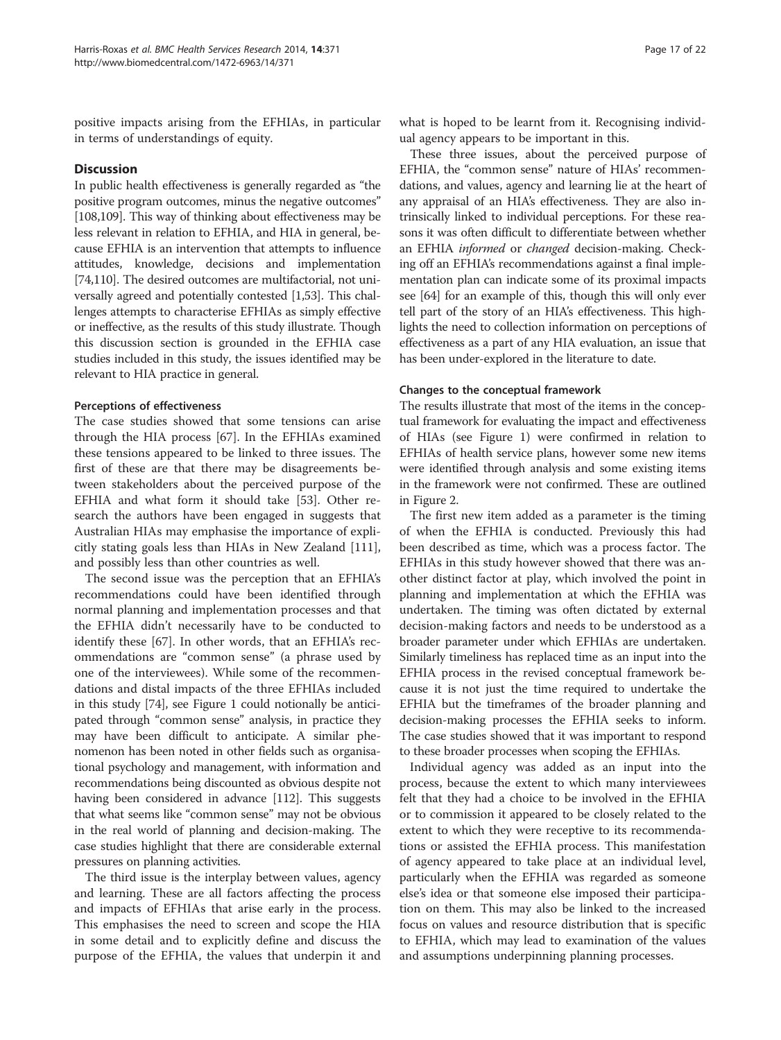positive impacts arising from the EFHIAs, in particular in terms of understandings of equity.

#### **Discussion**

In public health effectiveness is generally regarded as "the positive program outcomes, minus the negative outcomes" [[108,109\]](#page-21-0). This way of thinking about effectiveness may be less relevant in relation to EFHIA, and HIA in general, because EFHIA is an intervention that attempts to influence attitudes, knowledge, decisions and implementation [[74](#page-20-0)[,110\]](#page-21-0). The desired outcomes are multifactorial, not universally agreed and potentially contested [\[1](#page-19-0)[,53\]](#page-20-0). This challenges attempts to characterise EFHIAs as simply effective or ineffective, as the results of this study illustrate. Though this discussion section is grounded in the EFHIA case studies included in this study, the issues identified may be relevant to HIA practice in general.

#### Perceptions of effectiveness

The case studies showed that some tensions can arise through the HIA process [[67\]](#page-20-0). In the EFHIAs examined these tensions appeared to be linked to three issues. The first of these are that there may be disagreements between stakeholders about the perceived purpose of the EFHIA and what form it should take [\[53\]](#page-20-0). Other research the authors have been engaged in suggests that Australian HIAs may emphasise the importance of explicitly stating goals less than HIAs in New Zealand [\[111](#page-21-0)], and possibly less than other countries as well.

The second issue was the perception that an EFHIA's recommendations could have been identified through normal planning and implementation processes and that the EFHIA didn't necessarily have to be conducted to identify these [[67](#page-20-0)]. In other words, that an EFHIA's recommendations are "common sense" (a phrase used by one of the interviewees). While some of the recommendations and distal impacts of the three EFHIAs included in this study [\[74](#page-20-0)], see Figure [1](#page-2-0) could notionally be anticipated through "common sense" analysis, in practice they may have been difficult to anticipate. A similar phenomenon has been noted in other fields such as organisational psychology and management, with information and recommendations being discounted as obvious despite not having been considered in advance [\[112](#page-21-0)]. This suggests that what seems like "common sense" may not be obvious in the real world of planning and decision-making. The case studies highlight that there are considerable external pressures on planning activities.

The third issue is the interplay between values, agency and learning. These are all factors affecting the process and impacts of EFHIAs that arise early in the process. This emphasises the need to screen and scope the HIA in some detail and to explicitly define and discuss the purpose of the EFHIA, the values that underpin it and

what is hoped to be learnt from it. Recognising individual agency appears to be important in this.

These three issues, about the perceived purpose of EFHIA, the "common sense" nature of HIAs' recommendations, and values, agency and learning lie at the heart of any appraisal of an HIA's effectiveness. They are also intrinsically linked to individual perceptions. For these reasons it was often difficult to differentiate between whether an EFHIA informed or changed decision-making. Checking off an EFHIA's recommendations against a final implementation plan can indicate some of its proximal impacts see [\[64](#page-20-0)] for an example of this, though this will only ever tell part of the story of an HIA's effectiveness. This highlights the need to collection information on perceptions of effectiveness as a part of any HIA evaluation, an issue that has been under-explored in the literature to date.

#### Changes to the conceptual framework

The results illustrate that most of the items in the conceptual framework for evaluating the impact and effectiveness of HIAs (see Figure [1](#page-2-0)) were confirmed in relation to EFHIAs of health service plans, however some new items were identified through analysis and some existing items in the framework were not confirmed. These are outlined in Figure [2.](#page-17-0)

The first new item added as a parameter is the timing of when the EFHIA is conducted. Previously this had been described as time, which was a process factor. The EFHIAs in this study however showed that there was another distinct factor at play, which involved the point in planning and implementation at which the EFHIA was undertaken. The timing was often dictated by external decision-making factors and needs to be understood as a broader parameter under which EFHIAs are undertaken. Similarly timeliness has replaced time as an input into the EFHIA process in the revised conceptual framework because it is not just the time required to undertake the EFHIA but the timeframes of the broader planning and decision-making processes the EFHIA seeks to inform. The case studies showed that it was important to respond to these broader processes when scoping the EFHIAs.

Individual agency was added as an input into the process, because the extent to which many interviewees felt that they had a choice to be involved in the EFHIA or to commission it appeared to be closely related to the extent to which they were receptive to its recommendations or assisted the EFHIA process. This manifestation of agency appeared to take place at an individual level, particularly when the EFHIA was regarded as someone else's idea or that someone else imposed their participation on them. This may also be linked to the increased focus on values and resource distribution that is specific to EFHIA, which may lead to examination of the values and assumptions underpinning planning processes.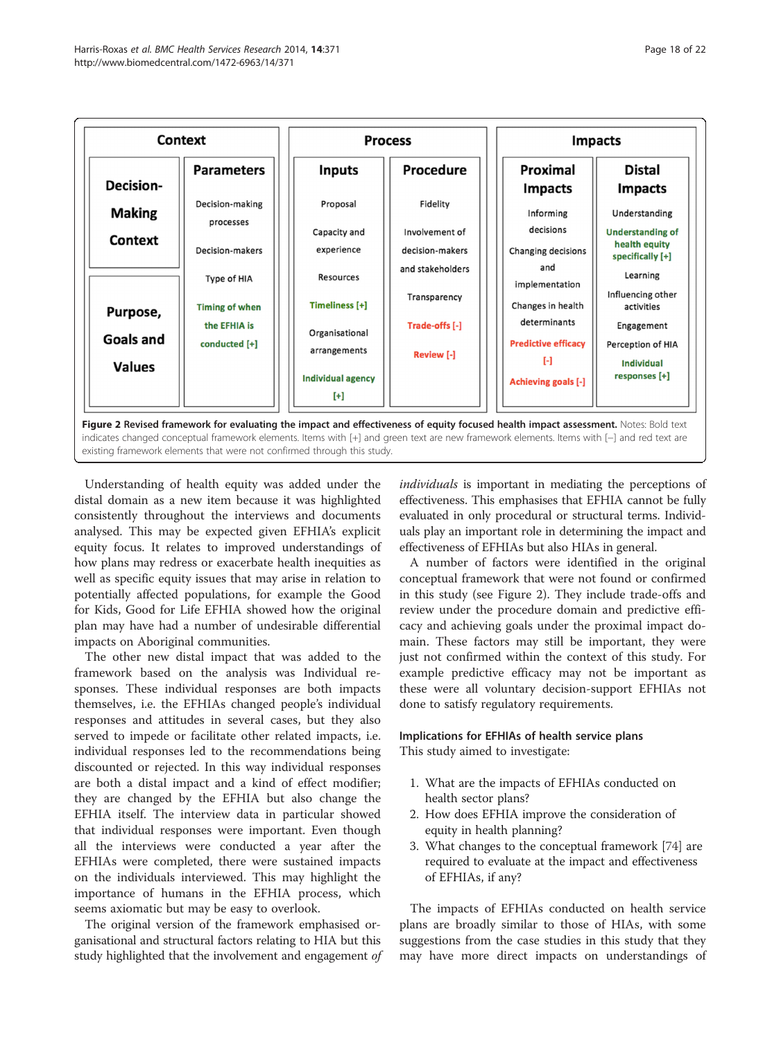<span id="page-17-0"></span>

Understanding of health equity was added under the distal domain as a new item because it was highlighted consistently throughout the interviews and documents analysed. This may be expected given EFHIA's explicit equity focus. It relates to improved understandings of how plans may redress or exacerbate health inequities as well as specific equity issues that may arise in relation to potentially affected populations, for example the Good for Kids, Good for Life EFHIA showed how the original plan may have had a number of undesirable differential impacts on Aboriginal communities.

The other new distal impact that was added to the framework based on the analysis was Individual responses. These individual responses are both impacts themselves, i.e. the EFHIAs changed people's individual responses and attitudes in several cases, but they also served to impede or facilitate other related impacts, i.e. individual responses led to the recommendations being discounted or rejected. In this way individual responses are both a distal impact and a kind of effect modifier; they are changed by the EFHIA but also change the EFHIA itself. The interview data in particular showed that individual responses were important. Even though all the interviews were conducted a year after the EFHIAs were completed, there were sustained impacts on the individuals interviewed. This may highlight the importance of humans in the EFHIA process, which seems axiomatic but may be easy to overlook.

The original version of the framework emphasised organisational and structural factors relating to HIA but this study highlighted that the involvement and engagement of

individuals is important in mediating the perceptions of effectiveness. This emphasises that EFHIA cannot be fully evaluated in only procedural or structural terms. Individuals play an important role in determining the impact and effectiveness of EFHIAs but also HIAs in general.

A number of factors were identified in the original conceptual framework that were not found or confirmed in this study (see Figure 2). They include trade-offs and review under the procedure domain and predictive efficacy and achieving goals under the proximal impact domain. These factors may still be important, they were just not confirmed within the context of this study. For example predictive efficacy may not be important as these were all voluntary decision-support EFHIAs not done to satisfy regulatory requirements.

## Implications for EFHIAs of health service plans This study aimed to investigate:

- 1. What are the impacts of EFHIAs conducted on health sector plans?
- 2. How does EFHIA improve the consideration of equity in health planning?
- 3. What changes to the conceptual framework [[74](#page-20-0)] are required to evaluate at the impact and effectiveness of EFHIAs, if any?

The impacts of EFHIAs conducted on health service plans are broadly similar to those of HIAs, with some suggestions from the case studies in this study that they may have more direct impacts on understandings of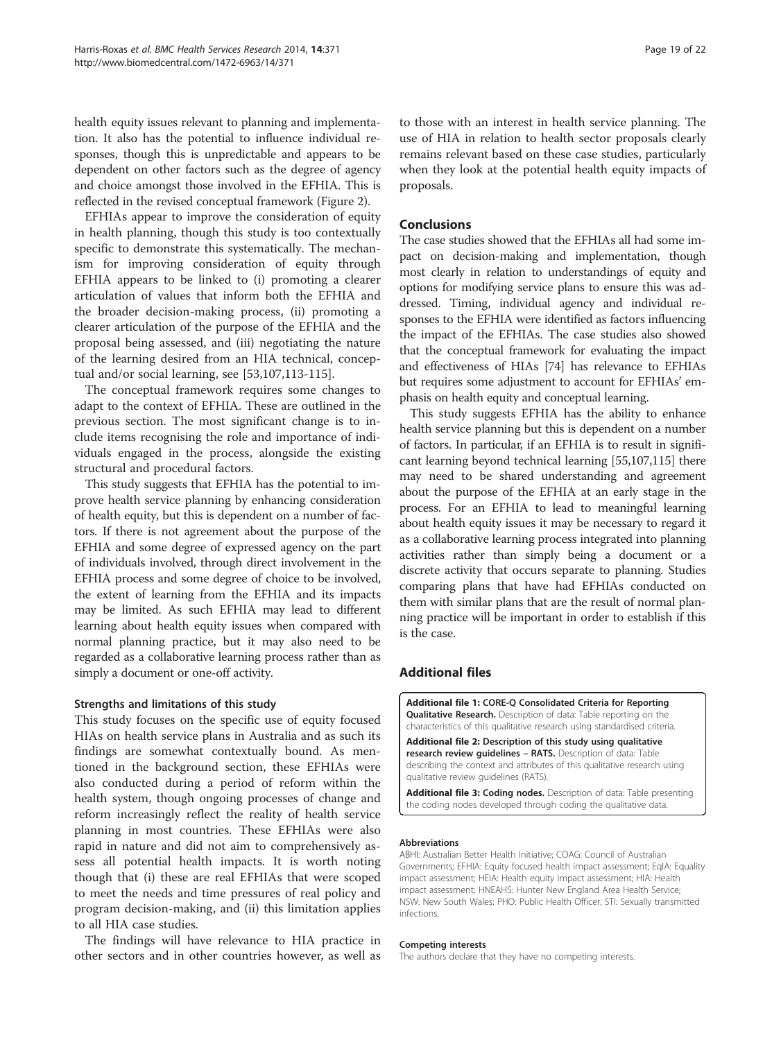<span id="page-18-0"></span>health equity issues relevant to planning and implementation. It also has the potential to influence individual responses, though this is unpredictable and appears to be dependent on other factors such as the degree of agency and choice amongst those involved in the EFHIA. This is reflected in the revised conceptual framework (Figure [2](#page-17-0)).

EFHIAs appear to improve the consideration of equity in health planning, though this study is too contextually specific to demonstrate this systematically. The mechanism for improving consideration of equity through EFHIA appears to be linked to (i) promoting a clearer articulation of values that inform both the EFHIA and the broader decision-making process, (ii) promoting a clearer articulation of the purpose of the EFHIA and the proposal being assessed, and (iii) negotiating the nature of the learning desired from an HIA technical, conceptual and/or social learning, see [\[53](#page-20-0)[,107,113-115](#page-21-0)].

The conceptual framework requires some changes to adapt to the context of EFHIA. These are outlined in the previous section. The most significant change is to include items recognising the role and importance of individuals engaged in the process, alongside the existing structural and procedural factors.

This study suggests that EFHIA has the potential to improve health service planning by enhancing consideration of health equity, but this is dependent on a number of factors. If there is not agreement about the purpose of the EFHIA and some degree of expressed agency on the part of individuals involved, through direct involvement in the EFHIA process and some degree of choice to be involved, the extent of learning from the EFHIA and its impacts may be limited. As such EFHIA may lead to different learning about health equity issues when compared with normal planning practice, but it may also need to be regarded as a collaborative learning process rather than as simply a document or one-off activity.

#### Strengths and limitations of this study

This study focuses on the specific use of equity focused HIAs on health service plans in Australia and as such its findings are somewhat contextually bound. As mentioned in the background section, these EFHIAs were also conducted during a period of reform within the health system, though ongoing processes of change and reform increasingly reflect the reality of health service planning in most countries. These EFHIAs were also rapid in nature and did not aim to comprehensively assess all potential health impacts. It is worth noting though that (i) these are real EFHIAs that were scoped to meet the needs and time pressures of real policy and program decision-making, and (ii) this limitation applies to all HIA case studies.

The findings will have relevance to HIA practice in other sectors and in other countries however, as well as to those with an interest in health service planning. The use of HIA in relation to health sector proposals clearly remains relevant based on these case studies, particularly when they look at the potential health equity impacts of proposals.

#### Conclusions

The case studies showed that the EFHIAs all had some impact on decision-making and implementation, though most clearly in relation to understandings of equity and options for modifying service plans to ensure this was addressed. Timing, individual agency and individual responses to the EFHIA were identified as factors influencing the impact of the EFHIAs. The case studies also showed that the conceptual framework for evaluating the impact and effectiveness of HIAs [\[74\]](#page-20-0) has relevance to EFHIAs but requires some adjustment to account for EFHIAs' emphasis on health equity and conceptual learning.

This study suggests EFHIA has the ability to enhance health service planning but this is dependent on a number of factors. In particular, if an EFHIA is to result in significant learning beyond technical learning [\[55](#page-20-0)[,107,115](#page-21-0)] there may need to be shared understanding and agreement about the purpose of the EFHIA at an early stage in the process. For an EFHIA to lead to meaningful learning about health equity issues it may be necessary to regard it as a collaborative learning process integrated into planning activities rather than simply being a document or a discrete activity that occurs separate to planning. Studies comparing plans that have had EFHIAs conducted on them with similar plans that are the result of normal planning practice will be important in order to establish if this is the case.

## Additional files

[Additional file 1:](http://www.biomedcentral.com/content/supplementary/1472-6963-14-371-S1.pdf) CORE-Q Consolidated Criteria for Reporting **Qualitative Research.** Description of data: Table reporting on the characteristics of this qualitative research using standardised criteria.

[Additional file 2:](http://www.biomedcentral.com/content/supplementary/1472-6963-14-371-S2.pdf) Description of this study using qualitative research review guidelines - RATS. Description of data: Table describing the context and attributes of this qualitative research using qualitative review guidelines (RATS).

[Additional file 3:](http://www.biomedcentral.com/content/supplementary/1472-6963-14-371-S3.pdf) Coding nodes. Description of data: Table presenting the coding nodes developed through coding the qualitative data.

#### Abbreviations

ABHI: Australian Better Health Initiative; COAG: Council of Australian Governments; EFHIA: Equity focused health impact assessment; EqIA: Equality impact assessment; HEIA: Health equity impact assessment; HIA: Health impact assessment; HNEAHS: Hunter New England Area Health Service; NSW: New South Wales; PHO: Public Health Officer; STI: Sexually transmitted infections.

#### Competing interests

The authors declare that they have no competing interests.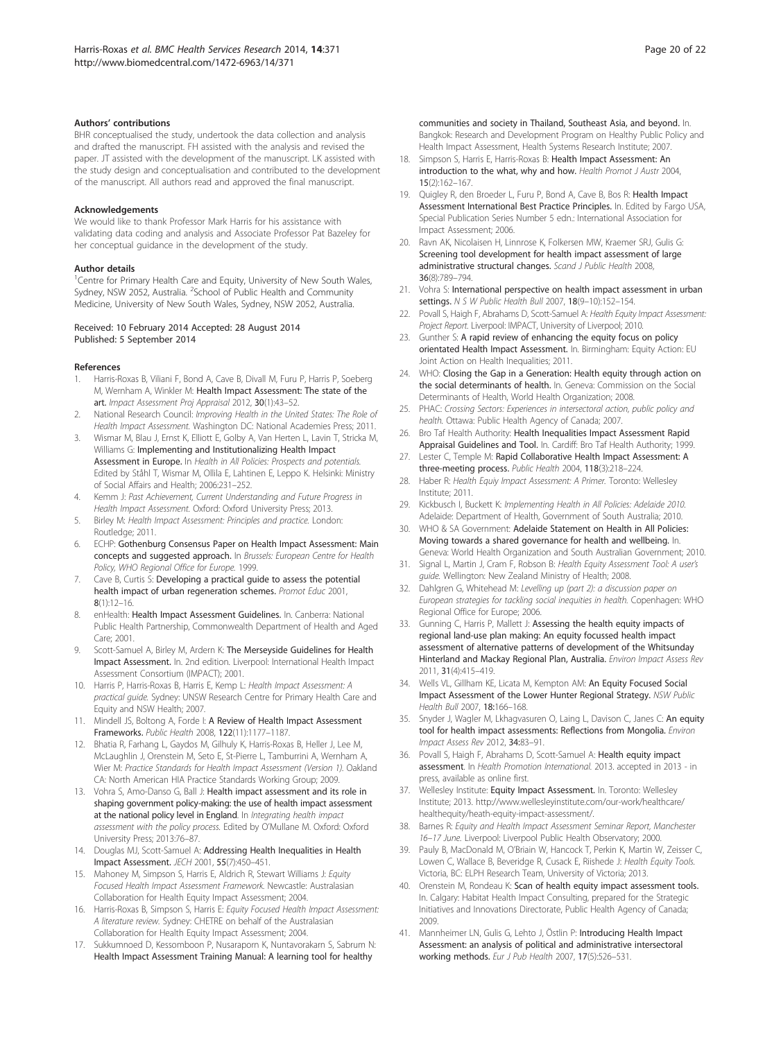#### <span id="page-19-0"></span>Authors' contributions

BHR conceptualised the study, undertook the data collection and analysis and drafted the manuscript. FH assisted with the analysis and revised the paper. JT assisted with the development of the manuscript. LK assisted with the study design and conceptualisation and contributed to the development of the manuscript. All authors read and approved the final manuscript.

#### Acknowledgements

We would like to thank Professor Mark Harris for his assistance with validating data coding and analysis and Associate Professor Pat Bazeley for her conceptual guidance in the development of the study.

#### Author details

<sup>1</sup> Centre for Primary Health Care and Equity, University of New South Wales, Sydney, NSW 2052, Australia. <sup>2</sup>School of Public Health and Community Medicine, University of New South Wales, Sydney, NSW 2052, Australia.

#### Received: 10 February 2014 Accepted: 28 August 2014 Published: 5 September 2014

#### References

- 1. Harris-Roxas B, Viliani F, Bond A, Cave B, Divall M, Furu P, Harris P, Soeberg M, Wernham A, Winkler M: Health Impact Assessment: The state of the art. Impact Assessment Proj Appraisal 2012, 30(1):43–52.
- 2. National Research Council: Improving Health in the United States: The Role of Health Impact Assessment. Washington DC: National Academies Press; 2011.
- 3. Wismar M, Blau J, Ernst K, Elliott E, Golby A, Van Herten L, Lavin T, Stricka M, Williams G: Implementing and Institutionalizing Health Impact Assessment in Europe. In Health in All Policies: Prospects and potentials. Edited by Ståhl T, Wismar M, Ollila E, Lahtinen E, Leppo K. Helsinki: Ministry of Social Affairs and Health; 2006:231–252.
- 4. Kemm J: Past Achievement, Current Understanding and Future Progress in Health Impact Assessment. Oxford: Oxford University Press; 2013.
- Birley M: Health Impact Assessment: Principles and practice. London: Routledge; 2011.
- 6. ECHP: Gothenburg Consensus Paper on Health Impact Assessment: Main concepts and suggested approach. In Brussels: European Centre for Health Policy, WHO Regional Office for Europe. 1999.
- 7. Cave B, Curtis S: Developing a practical guide to assess the potential health impact of urban regeneration schemes. Promot Educ 2001, 8(1):12–16.
- 8. enHealth: Health Impact Assessment Guidelines. In. Canberra: National Public Health Partnership, Commonwealth Department of Health and Aged Care; 2001.
- 9. Scott-Samuel A, Birley M, Ardern K: The Merseyside Guidelines for Health Impact Assessment. In. 2nd edition. Liverpool: International Health Impact Assessment Consortium (IMPACT); 2001.
- 10. Harris P, Harris-Roxas B, Harris E, Kemp L: Health Impact Assessment: A practical guide. Sydney: UNSW Research Centre for Primary Health Care and Equity and NSW Health; 2007.
- 11. Mindell JS, Boltong A, Forde I: A Review of Health Impact Assessment Frameworks. Public Health 2008, 122(11):1177–1187.
- 12. Bhatia R, Farhang L, Gaydos M, Gilhuly K, Harris-Roxas B, Heller J, Lee M, McLaughlin J, Orenstein M, Seto E, St-Pierre L, Tamburrini A, Wernham A, Wier M: Practice Standards for Health Impact Assessment (Version 1). Oakland CA: North American HIA Practice Standards Working Group; 2009.
- 13. Vohra S, Amo-Danso G, Ball J: Health impact assessment and its role in shaping government policy-making: the use of health impact assessment at the national policy level in England. In Integrating health impact assessment with the policy process. Edited by O'Mullane M. Oxford: Oxford University Press; 2013:76–87.
- 14. Douglas MJ, Scott-Samuel A: Addressing Health Inequalities in Health Impact Assessment. JECH 2001, 55(7):450–451.
- 15. Mahoney M, Simpson S, Harris E, Aldrich R, Stewart Williams J: Equity Focused Health Impact Assessment Framework. Newcastle: Australasian Collaboration for Health Equity Impact Assessment; 2004.
- 16. Harris-Roxas B, Simpson S, Harris E: Equity Focused Health Impact Assessment: A literature review. Sydney: CHETRE on behalf of the Australasian Collaboration for Health Equity Impact Assessment; 2004.
- 17. Sukkumnoed D, Kessomboon P, Nusaraporn K, Nuntavorakarn S, Sabrum N: Health Impact Assessment Training Manual: A learning tool for healthy
- 18. Simpson S, Harris E, Harris-Roxas B: Health Impact Assessment: An introduction to the what, why and how. Health Promot J Austr 2004, 15(2):162–167.
- 19. Ouigley R, den Broeder L, Furu P, Bond A, Cave B, Bos R: Health Impact Assessment International Best Practice Principles. In. Edited by Fargo USA, Special Publication Series Number 5 edn.: International Association for Impact Assessment; 2006.
- 20. Ravn AK, Nicolaisen H, Linnrose K, Folkersen MW, Kraemer SRJ, Gulis G: Screening tool development for health impact assessment of large administrative structural changes. Scand J Public Health 2008, 36(8):789–794.
- 21. Vohra S: International perspective on health impact assessment in urban settings. N S W Public Health Bull 2007, 18(9–10):152–154.
- 22. Povall S, Haigh F, Abrahams D, Scott-Samuel A: Health Equity Impact Assessment: Project Report. Liverpool: IMPACT, University of Liverpool; 2010.
- 23. Gunther S: A rapid review of enhancing the equity focus on policy orientated Health Impact Assessment. In. Birmingham: Equity Action: EU Joint Action on Health Inequalities; 2011.
- 24. WHO: Closing the Gap in a Generation: Health equity through action on the social determinants of health. In. Geneva: Commission on the Social Determinants of Health, World Health Organization; 2008.
- 25. PHAC: Crossing Sectors: Experiences in intersectoral action, public policy and health. Ottawa: Public Health Agency of Canada; 2007.
- 26. Bro Taf Health Authority: Health Inequalities Impact Assessment Rapid Appraisal Guidelines and Tool. In. Cardiff: Bro Taf Health Authority; 1999.
- 27. Lester C, Temple M: Rapid Collaborative Health Impact Assessment: A three-meeting process. Public Health 2004, 118(3):218–224.
- 28. Haber R: Health Equiy Impact Assessment: A Primer. Toronto: Wellesley Institute; 2011.
- 29. Kickbusch I, Buckett K: Implementing Health in All Policies: Adelaide 2010. Adelaide: Department of Health, Government of South Australia; 2010.
- 30. WHO & SA Government: Adelaide Statement on Health in All Policies: Moving towards a shared governance for health and wellbeing. In. Geneva: World Health Organization and South Australian Government; 2010.
- 31. Signal L, Martin J, Cram F, Robson B: Health Equity Assessment Tool: A user's guide. Wellington: New Zealand Ministry of Health; 2008.
- 32. Dahlgren G, Whitehead M: Levelling up (part 2): a discussion paper on European strategies for tackling social inequities in health. Copenhagen: WHO Regional Office for Europe; 2006.
- 33. Gunning C, Harris P, Mallett J: Assessing the health equity impacts of regional land-use plan making: An equity focussed health impact assessment of alternative patterns of development of the Whitsunday Hinterland and Mackay Regional Plan, Australia. Environ Impact Assess Rev 2011, 31(4):415–419.
- 34. Wells VL, Gillham KE, Licata M, Kempton AM: An Equity Focused Social Impact Assessment of the Lower Hunter Regional Strategy. NSW Public Health Bull 2007, 18:166-168.
- 35. Snyder J, Wagler M, Lkhagyasuren O, Laing L, Davison C, Janes C: An equity tool for health impact assessments: Reflections from Mongolia. Environ Impact Assess Rev 2012, 34:83–91.
- 36. Povall S, Haigh F, Abrahams D, Scott-Samuel A: Health equity impact assessment. In Health Promotion International. 2013. accepted in 2013 - in press, available as online first.
- Wellesley Institute: Equity Impact Assessment. In. Toronto: Wellesley Institute; 2013. [http://www.wellesleyinstitute.com/our-work/healthcare/](http://www.wellesleyinstitute.com/our-work/healthcare/healthequity/heath-equity-impact-assessment/) [healthequity/heath-equity-impact-assessment/](http://www.wellesleyinstitute.com/our-work/healthcare/healthequity/heath-equity-impact-assessment/).
- 38. Barnes R: Equity and Health Impact Assessment Seminar Report, Manchester 16–17 June. Liverpool: Liverpool Public Health Observatory; 2000.
- 39. Pauly B, MacDonald M, O'Briain W, Hancock T, Perkin K, Martin W, Zeisser C, Lowen C, Wallace B, Beveridge R, Cusack E, Riishede J: Health Equity Tools. Victoria, BC: ELPH Research Team, University of Victoria; 2013.
- 40. Orenstein M, Rondeau K: Scan of health equity impact assessment tools. In. Calgary: Habitat Health Impact Consulting, prepared for the Strategic Initiatives and Innovations Directorate, Public Health Agency of Canada; 2009.
- 41. Mannheimer LN, Gulis G, Lehto J, Östlin P: Introducing Health Impact Assessment: an analysis of political and administrative intersectoral working methods. Eur J Pub Health 2007, 17(5):526–531.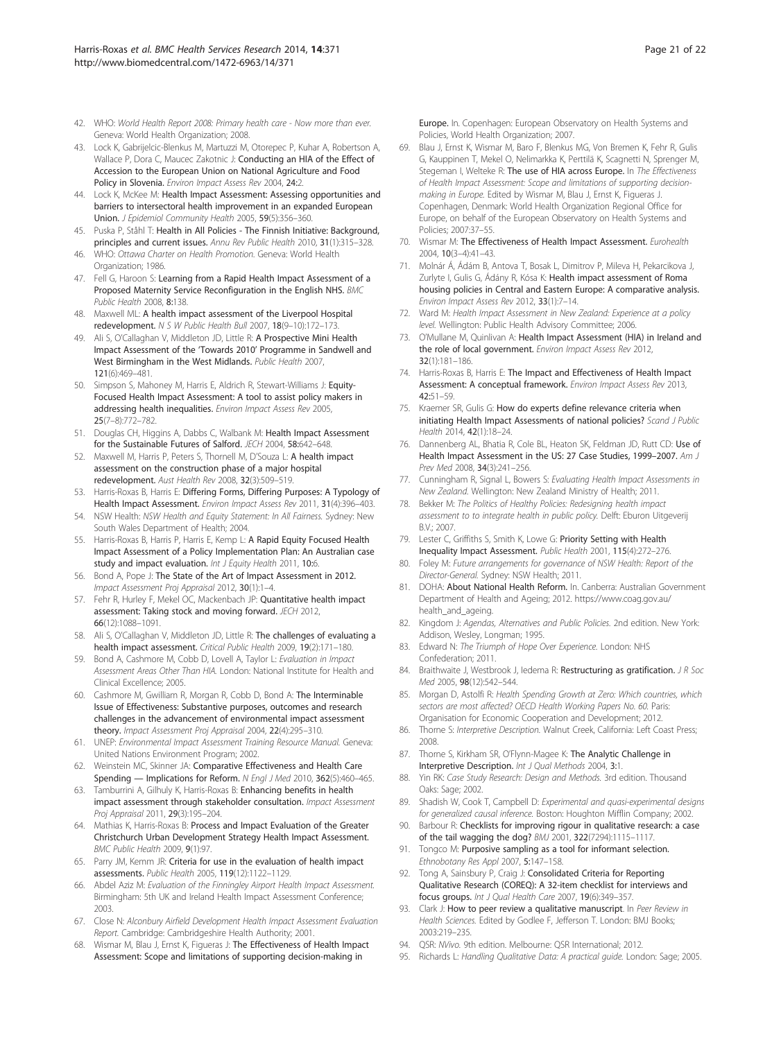- <span id="page-20-0"></span>42. WHO: World Health Report 2008: Primary health care - Now more than ever. Geneva: World Health Organization; 2008.
- 43. Lock K, Gabrijelcic-Blenkus M, Martuzzi M, Otorepec P, Kuhar A, Robertson A, Wallace P, Dora C, Maucec Zakotnic J: Conducting an HIA of the Effect of Accession to the European Union on National Agriculture and Food Policy in Slovenia. Environ Impact Assess Rev 2004, 24:2.
- 44. Lock K, McKee M: Health Impact Assessment: Assessing opportunities and barriers to intersectoral health improvement in an expanded European Union. J Epidemiol Community Health 2005, 59(5):356–360.
- 45. Puska P, Ståhl T: Health in All Policies The Finnish Initiative: Background, principles and current issues. Annu Rev Public Health 2010, 31(1):315-328.
- 46. WHO: Ottawa Charter on Health Promotion. Geneva: World Health Organization; 1986.
- 47. Fell G, Haroon S: Learning from a Rapid Health Impact Assessment of a Proposed Maternity Service Reconfiguration in the English NHS. BMC Public Health 2008, 8:138.
- 48. Maxwell ML: A health impact assessment of the Liverpool Hospital redevelopment. N S W Public Health Bull 2007, 18(9–10):172–173.
- 49. Ali S, O'Callaghan V, Middleton JD, Little R: A Prospective Mini Health Impact Assessment of the 'Towards 2010' Programme in Sandwell and West Birmingham in the West Midlands. Public Health 2007, 121(6):469–481.
- 50. Simpson S, Mahoney M, Harris E, Aldrich R, Stewart-Williams J: Equity-Focused Health Impact Assessment: A tool to assist policy makers in addressing health inequalities. Environ Impact Assess Rev 2005, 25(7–8):772–782.
- 51. Douglas CH, Higgins A, Dabbs C, Walbank M: Health Impact Assessment for the Sustainable Futures of Salford. JFCH 2004, 58:642-648.
- 52. Maxwell M, Harris P, Peters S, Thornell M, D'Souza L: A health impact assessment on the construction phase of a major hospital redevelopment. Aust Health Rev 2008, 32(3):509–519.
- 53. Harris-Roxas B, Harris E: Differing Forms, Differing Purposes: A Typology of Health Impact Assessment. Environ Impact Assess Rev 2011, 31(4):396–403.
- 54. NSW Health: NSW Health and Equity Statement: In All Fairness. Sydney: New South Wales Department of Health; 2004.
- 55. Harris-Roxas B, Harris P, Harris E, Kemp L: A Rapid Equity Focused Health Impact Assessment of a Policy Implementation Plan: An Australian case study and impact evaluation. Int J Equity Health 2011, 10:6.
- 56. Bond A, Pope J: The State of the Art of Impact Assessment in 2012. Impact Assessment Proj Appraisal 2012, 30(1):1–4.
- 57. Fehr R, Hurley F, Mekel OC, Mackenbach JP: Quantitative health impact assessment: Taking stock and moving forward. JECH 2012, 66(12):1088–1091.
- 58. Ali S, O'Callaghan V, Middleton JD, Little R: The challenges of evaluating a health impact assessment. Critical Public Health 2009, 19(2):171-180.
- 59. Bond A, Cashmore M, Cobb D, Lovell A, Taylor L: Evaluation in Impact Assessment Areas Other Than HIA. London: National Institute for Health and Clinical Excellence; 2005.
- 60. Cashmore M, Gwilliam R, Morgan R, Cobb D, Bond A: The Interminable Issue of Effectiveness: Substantive purposes, outcomes and research challenges in the advancement of environmental impact assessment theory. Impact Assessment Proj Appraisal 2004, 22(4):295–310.
- 61. UNEP: Environmental Impact Assessment Training Resource Manual. Geneva: United Nations Environment Program; 2002.
- 62. Weinstein MC, Skinner JA: Comparative Effectiveness and Health Care Spending — Implications for Reform. N Engl J Med 2010, 362(5):460–465.
- 63. Tamburrini A, Gilhuly K, Harris-Roxas B: Enhancing benefits in health impact assessment through stakeholder consultation. Impact Assessment Proj Appraisal 2011, 29(3):195–204.
- 64. Mathias K, Harris-Roxas B: Process and Impact Evaluation of the Greater Christchurch Urban Development Strategy Health Impact Assessment. BMC Public Health 2009, 9(1):97.
- 65. Parry JM, Kemm JR: Criteria for use in the evaluation of health impact assessments. Public Health 2005, 119(12):1122–1129.
- 66. Abdel Aziz M: Evaluation of the Finningley Airport Health Impact Assessment. Birmingham: 5th UK and Ireland Health Impact Assessment Conference; 2003.
- 67. Close N: Alconbury Airfield Development Health Impact Assessment Evaluation Report. Cambridge: Cambridgeshire Health Authority; 2001.
- 68. Wismar M, Blau J, Ernst K, Figueras J: The Effectiveness of Health Impact Assessment: Scope and limitations of supporting decision-making in

Europe. In. Copenhagen: European Observatory on Health Systems and Policies, World Health Organization; 2007.

- 69. Blau J, Ernst K, Wismar M, Baro F, Blenkus MG, Von Bremen K, Fehr R, Gulis G, Kauppinen T, Mekel O, Nelimarkka K, Perttilä K, Scagnetti N, Sprenger M, Stegeman I, Welteke R: The use of HIA across Europe. In The Effectiveness of Health Impact Assessment: Scope and limitations of supporting decisionmaking in Europe. Edited by Wismar M, Blau J, Ernst K, Figueras J. Copenhagen, Denmark: World Health Organization Regional Office for Europe, on behalf of the European Observatory on Health Systems and Policies; 2007:37–55.
- 70. Wismar M: The Effectiveness of Health Impact Assessment. Eurohealth 2004, 10(3–4):41–43.
- 71. Molnár Á, Ádám B, Antova T, Bosak L, Dimitrov P, Mileva H, Pekarcikova J, Zurlyte I, Gulis G, Ádány R, Kósa K: Health impact assessment of Roma housing policies in Central and Eastern Europe: A comparative analysis. Environ Impact Assess Rev 2012, 33(1):7–14.
- 72. Ward M: Health Impact Assessment in New Zealand: Experience at a policy level. Wellington: Public Health Advisory Committee; 2006.
- 73. O'Mullane M, Quinlivan A: Health Impact Assessment (HIA) in Ireland and the role of local government. Environ Impact Assess Rev 2012, 32(1):181–186.
- 74. Harris-Roxas B, Harris E: The Impact and Effectiveness of Health Impact Assessment: A conceptual framework. Environ Impact Assess Rev 2013, 42:51–59.
- 75. Kraemer SR, Gulis G: How do experts define relevance criteria when initiating Health Impact Assessments of national policies? Scand J Public Health 2014, 42(1):18–24.
- 76. Dannenberg AL, Bhatia R, Cole BL, Heaton SK, Feldman JD, Rutt CD: Use of Health Impact Assessment in the US: 27 Case Studies, 1999–2007. Am J Prev Med 2008, 34(3):241–256.
- 77. Cunningham R, Signal L, Bowers S: Evaluating Health Impact Assessments in New Zealand. Wellington: New Zealand Ministry of Health; 2011.
- 78. Bekker M: The Politics of Healthy Policies: Redesigning health impact assessment to to integrate health in public policy. Delft: Eburon Uitgeverij B.V.; 2007.
- 79. Lester C, Griffiths S, Smith K, Lowe G: Priority Setting with Health Inequality Impact Assessment. Public Health 2001, 115(4):272–276.
- 80. Foley M: Future arrangements for governance of NSW Health: Report of the Director-General. Sydney: NSW Health; 2011.
- 81. DOHA: About National Health Reform. In. Canberra: Australian Government Department of Health and Ageing; 2012. [https://www.coag.gov.au/](https://www.coag.gov.au/health_and_ageing) [health\\_and\\_ageing](https://www.coag.gov.au/health_and_ageing).
- 82. Kingdom J: Agendas, Alternatives and Public Policies. 2nd edition. New York: Addison, Wesley, Longman; 1995.
- 83. Edward N: The Triumph of Hope Over Experience. London: NHS Confederation; 2011.
- 84. Braithwaite J, Westbrook J, Iedema R: Restructuring as gratification. J R Soc Med 2005, 98(12):542–544.
- 85. Morgan D, Astolfi R: Health Spending Growth at Zero: Which countries, which sectors are most affected? OECD Health Working Papers No. 60. Paris: Organisation for Economic Cooperation and Development; 2012.
- 86. Thorne S: Interpretive Description. Walnut Creek, California: Left Coast Press; 2008.
- 87. Thorne S, Kirkham SR, O'Flynn-Magee K: The Analytic Challenge in Interpretive Description. Int J Qual Methods 2004, 3:1.
- 88. Yin RK: Case Study Research: Design and Methods. 3rd edition. Thousand Oaks: Sage; 2002.
- 89. Shadish W, Cook T, Campbell D: Experimental and quasi-experimental designs for generalized causal inference. Boston: Houghton Mifflin Company; 2002.
- 90. Barbour R: Checklists for improving rigour in qualitative research: a case of the tail wagging the dog? BMJ 2001, 322(7294):1115–1117.
- 91. Tongco M: Purposive sampling as a tool for informant selection. Ethnobotany Res Appl 2007, 5:147–158.
- 92. Tong A, Sainsbury P, Craig J: Consolidated Criteria for Reporting Qualitative Research (COREQ): A 32-item checklist for interviews and focus groups. Int J Qual Health Care 2007, 19(6):349–357.
- 93. Clark J: How to peer review a qualitative manuscript. In Peer Review in Health Sciences. Edited by Godlee F, Jefferson T. London: BMJ Books; 2003:219–235.
- 94. QSR: NVivo. 9th edition. Melbourne: QSR International; 2012.
- 95. Richards L: Handling Qualitative Data: A practical guide. London: Sage; 2005.